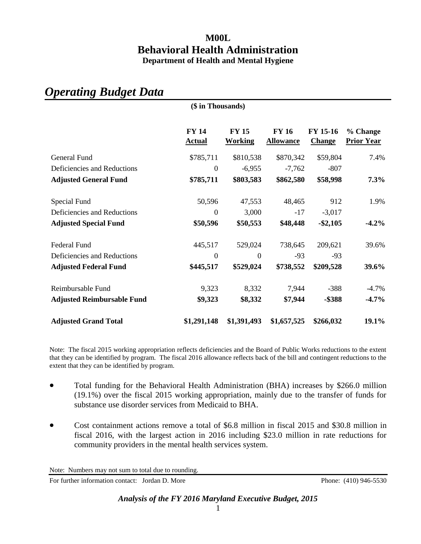## **M00L Behavioral Health Administration Department of Health and Mental Hygiene**

|                                   | (\$ in Thousands)             |                                |                                  |                           |                               |  |  |  |  |
|-----------------------------------|-------------------------------|--------------------------------|----------------------------------|---------------------------|-------------------------------|--|--|--|--|
|                                   | <b>FY 14</b><br><b>Actual</b> | <b>FY 15</b><br><b>Working</b> | <b>FY 16</b><br><b>Allowance</b> | FY 15-16<br><b>Change</b> | % Change<br><b>Prior Year</b> |  |  |  |  |
| General Fund                      | \$785,711                     | \$810,538                      | \$870,342                        | \$59,804                  | 7.4%                          |  |  |  |  |
| Deficiencies and Reductions       | $\overline{0}$                | $-6,955$                       | $-7,762$                         | $-807$                    |                               |  |  |  |  |
| <b>Adjusted General Fund</b>      | \$785,711                     | \$803,583                      | \$862,580                        | \$58,998                  | 7.3%                          |  |  |  |  |
| Special Fund                      | 50,596                        | 47,553                         | 48,465                           | 912                       | 1.9%                          |  |  |  |  |
| Deficiencies and Reductions       | $\boldsymbol{0}$              | 3,000                          | $-17$                            | $-3,017$                  |                               |  |  |  |  |
| <b>Adjusted Special Fund</b>      | \$50,596                      | \$50,553                       | \$48,448                         | $-$ \$2,105               | $-4.2\%$                      |  |  |  |  |
| <b>Federal Fund</b>               | 445,517                       | 529,024                        | 738,645                          | 209,621                   | 39.6%                         |  |  |  |  |
| Deficiencies and Reductions       | $\boldsymbol{0}$              | $\mathbf{0}$                   | $-93$                            | $-93$                     |                               |  |  |  |  |
| <b>Adjusted Federal Fund</b>      | \$445,517                     | \$529,024                      | \$738,552                        | \$209,528                 | 39.6%                         |  |  |  |  |
| Reimbursable Fund                 | 9,323                         | 8,332                          | 7,944                            | $-388$                    | $-4.7\%$                      |  |  |  |  |
| <b>Adjusted Reimbursable Fund</b> | \$9,323                       | \$8,332                        | \$7,944                          | $-$ \$388                 | $-4.7\%$                      |  |  |  |  |
| <b>Adjusted Grand Total</b>       | \$1,291,148                   | \$1,391,493                    | \$1,657,525                      | \$266,032                 | 19.1%                         |  |  |  |  |

*Operating Budget Data*

Note: The fiscal 2015 working appropriation reflects deficiencies and the Board of Public Works reductions to the extent that they can be identified by program. The fiscal 2016 allowance reflects back of the bill and contingent reductions to the extent that they can be identified by program.

- Total funding for the Behavioral Health Administration (BHA) increases by \$266.0 million (19.1%) over the fiscal 2015 working appropriation, mainly due to the transfer of funds for substance use disorder services from Medicaid to BHA.
- Cost containment actions remove a total of \$6.8 million in fiscal 2015 and \$30.8 million in fiscal 2016, with the largest action in 2016 including \$23.0 million in rate reductions for community providers in the mental health services system.

Note: Numbers may not sum to total due to rounding.

For further information contact: Jordan D. More Phone: (410) 946-5530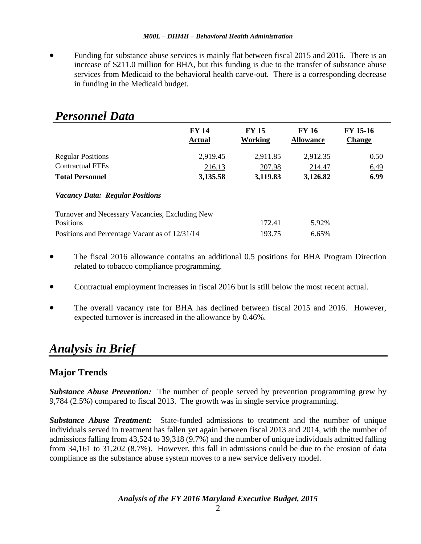• Funding for substance abuse services is mainly flat between fiscal 2015 and 2016. There is an increase of \$211.0 million for BHA, but this funding is due to the transfer of substance abuse services from Medicaid to the behavioral health carve-out. There is a corresponding decrease in funding in the Medicaid budget.

| <b>Personnel Data</b>                           |                               |                         |                                  |                           |  |  |  |  |
|-------------------------------------------------|-------------------------------|-------------------------|----------------------------------|---------------------------|--|--|--|--|
|                                                 | <b>FY 14</b><br><b>Actual</b> | <b>FY 15</b><br>Working | <b>FY 16</b><br><b>Allowance</b> | FY 15-16<br><b>Change</b> |  |  |  |  |
| <b>Regular Positions</b>                        | 2,919.45                      | 2,911.85                | 2,912.35                         | 0.50                      |  |  |  |  |
| <b>Contractual FTEs</b>                         | 216.13                        | 207.98                  | 214.47                           | 6.49                      |  |  |  |  |
| <b>Total Personnel</b>                          | 3,135.58                      | 3,119.83                | 3,126.82                         | 6.99                      |  |  |  |  |
| <b>Vacancy Data: Regular Positions</b>          |                               |                         |                                  |                           |  |  |  |  |
| Turnover and Necessary Vacancies, Excluding New |                               |                         |                                  |                           |  |  |  |  |
| Positions                                       |                               | 172.41                  | 5.92%                            |                           |  |  |  |  |
| Positions and Percentage Vacant as of 12/31/14  |                               | 193.75                  | 6.65%                            |                           |  |  |  |  |

- The fiscal 2016 allowance contains an additional 0.5 positions for BHA Program Direction related to tobacco compliance programming.
- Contractual employment increases in fiscal 2016 but is still below the most recent actual.
- The overall vacancy rate for BHA has declined between fiscal 2015 and 2016. However, expected turnover is increased in the allowance by 0.46%.

# *Analysis in Brief*

## **Major Trends**

*Substance Abuse Prevention:* The number of people served by prevention programming grew by 9,784 (2.5%) compared to fiscal 2013. The growth was in single service programming.

*Substance Abuse Treatment:* State-funded admissions to treatment and the number of unique individuals served in treatment has fallen yet again between fiscal 2013 and 2014, with the number of admissions falling from 43,524 to 39,318 (9.7%) and the number of unique individuals admitted falling from 34,161 to 31,202 (8.7%). However, this fall in admissions could be due to the erosion of data compliance as the substance abuse system moves to a new service delivery model.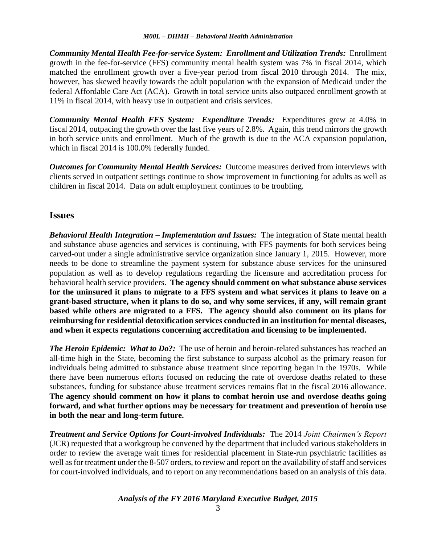*Community Mental Health Fee-for-service System: Enrollment and Utilization Trends:* Enrollment growth in the fee-for-service (FFS) community mental health system was 7% in fiscal 2014, which matched the enrollment growth over a five-year period from fiscal 2010 through 2014. The mix, however, has skewed heavily towards the adult population with the expansion of Medicaid under the federal Affordable Care Act (ACA). Growth in total service units also outpaced enrollment growth at 11% in fiscal 2014, with heavy use in outpatient and crisis services.

*Community Mental Health FFS System: Expenditure Trends:* Expenditures grew at 4.0% in fiscal 2014, outpacing the growth over the last five years of 2.8%. Again, this trend mirrors the growth in both service units and enrollment. Much of the growth is due to the ACA expansion population, which in fiscal 2014 is 100.0% federally funded.

*Outcomes for Community Mental Health Services:* Outcome measures derived from interviews with clients served in outpatient settings continue to show improvement in functioning for adults as well as children in fiscal 2014. Data on adult employment continues to be troubling.

## **Issues**

*Behavioral Health Integration – Implementation and Issues:* The integration of State mental health and substance abuse agencies and services is continuing, with FFS payments for both services being carved-out under a single administrative service organization since January 1, 2015. However, more needs to be done to streamline the payment system for substance abuse services for the uninsured population as well as to develop regulations regarding the licensure and accreditation process for behavioral health service providers. **The agency should comment on what substance abuse services for the uninsured it plans to migrate to a FFS system and what services it plans to leave on a grant-based structure, when it plans to do so, and why some services, if any, will remain grant based while others are migrated to a FFS. The agency should also comment on its plans for reimbursing for residential detoxification services conducted in an institution for mental diseases, and when it expects regulations concerning accreditation and licensing to be implemented.**

*The Heroin Epidemic: What to Do?:* The use of heroin and heroin-related substances has reached an all-time high in the State, becoming the first substance to surpass alcohol as the primary reason for individuals being admitted to substance abuse treatment since reporting began in the 1970s. While there have been numerous efforts focused on reducing the rate of overdose deaths related to these substances, funding for substance abuse treatment services remains flat in the fiscal 2016 allowance. **The agency should comment on how it plans to combat heroin use and overdose deaths going forward, and what further options may be necessary for treatment and prevention of heroin use in both the near and long-term future.**

*Treatment and Service Options for Court-involved Individuals:* The 2014 *Joint Chairmen's Report* (JCR) requested that a workgroup be convened by the department that included various stakeholders in order to review the average wait times for residential placement in State-run psychiatric facilities as well as for treatment under the 8-507 orders, to review and report on the availability of staff and services for court-involved individuals, and to report on any recommendations based on an analysis of this data.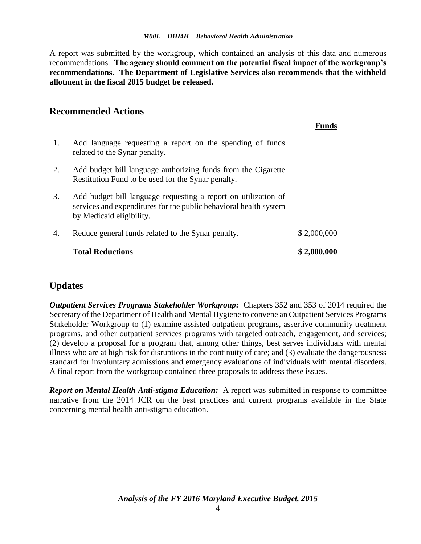A report was submitted by the workgroup, which contained an analysis of this data and numerous recommendations. **The agency should comment on the potential fiscal impact of the workgroup's recommendations. The Department of Legislative Services also recommends that the withheld allotment in the fiscal 2015 budget be released.**

## **Recommended Actions**

|    |                                                                                                                                                                 | Funds       |
|----|-----------------------------------------------------------------------------------------------------------------------------------------------------------------|-------------|
| 1. | Add language requesting a report on the spending of funds<br>related to the Synar penalty.                                                                      |             |
| 2. | Add budget bill language authorizing funds from the Cigarette<br>Restitution Fund to be used for the Synar penalty.                                             |             |
| 3. | Add budget bill language requesting a report on utilization of<br>services and expenditures for the public behavioral health system<br>by Medicaid eligibility. |             |
| 4. | Reduce general funds related to the Synar penalty.                                                                                                              | \$2,000,000 |
|    | <b>Total Reductions</b>                                                                                                                                         | \$2,000,000 |

## **Updates**

*Outpatient Services Programs Stakeholder Workgroup:* Chapters 352 and 353 of 2014 required the Secretary of the Department of Health and Mental Hygiene to convene an Outpatient Services Programs Stakeholder Workgroup to (1) examine assisted outpatient programs, assertive community treatment programs, and other outpatient services programs with targeted outreach, engagement, and services; (2) develop a proposal for a program that, among other things, best serves individuals with mental illness who are at high risk for disruptions in the continuity of care; and (3) evaluate the dangerousness standard for involuntary admissions and emergency evaluations of individuals with mental disorders. A final report from the workgroup contained three proposals to address these issues.

*Report on Mental Health Anti-stigma Education:* A report was submitted in response to committee narrative from the 2014 JCR on the best practices and current programs available in the State concerning mental health anti-stigma education.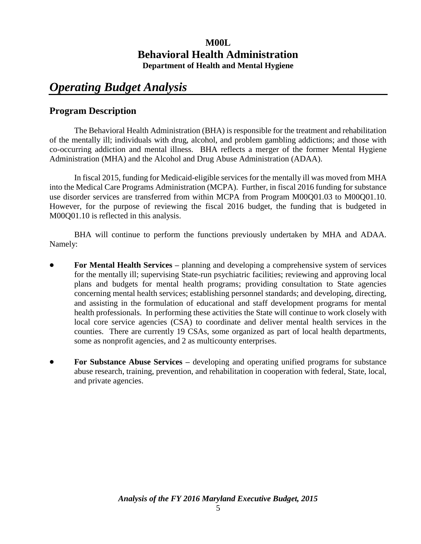## **M00L Behavioral Health Administration Department of Health and Mental Hygiene**

# *Operating Budget Analysis*

## **Program Description**

The Behavioral Health Administration (BHA) is responsible for the treatment and rehabilitation of the mentally ill; individuals with drug, alcohol, and problem gambling addictions; and those with co-occurring addiction and mental illness. BHA reflects a merger of the former Mental Hygiene Administration (MHA) and the Alcohol and Drug Abuse Administration (ADAA).

In fiscal 2015, funding for Medicaid-eligible services for the mentally ill was moved from MHA into the Medical Care Programs Administration (MCPA). Further, in fiscal 2016 funding for substance use disorder services are transferred from within MCPA from Program M00Q01.03 to M00Q01.10. However, for the purpose of reviewing the fiscal 2016 budget, the funding that is budgeted in M00Q01.10 is reflected in this analysis.

BHA will continue to perform the functions previously undertaken by MHA and ADAA. Namely:

- **For Mental Health Services –** planning and developing a comprehensive system of services for the mentally ill; supervising State-run psychiatric facilities; reviewing and approving local plans and budgets for mental health programs; providing consultation to State agencies concerning mental health services; establishing personnel standards; and developing, directing, and assisting in the formulation of educational and staff development programs for mental health professionals. In performing these activities the State will continue to work closely with local core service agencies (CSA) to coordinate and deliver mental health services in the counties. There are currently 19 CSAs, some organized as part of local health departments, some as nonprofit agencies, and 2 as multicounty enterprises.
- **For Substance Abuse Services –** developing and operating unified programs for substance abuse research, training, prevention, and rehabilitation in cooperation with federal, State, local, and private agencies.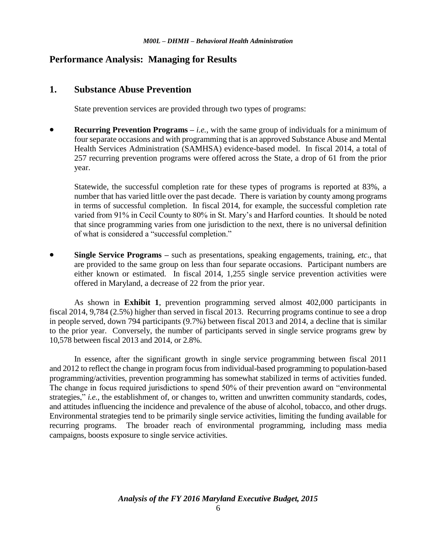## **Performance Analysis: Managing for Results**

## **1. Substance Abuse Prevention**

State prevention services are provided through two types of programs:

**Recurring Prevention Programs** – *i.e.*, with the same group of individuals for a minimum of four separate occasions and with programming that is an approved Substance Abuse and Mental Health Services Administration (SAMHSA) evidence-based model. In fiscal 2014, a total of 257 recurring prevention programs were offered across the State, a drop of 61 from the prior year.

Statewide, the successful completion rate for these types of programs is reported at 83%, a number that has varied little over the past decade. There is variation by county among programs in terms of successful completion. In fiscal 2014, for example, the successful completion rate varied from 91% in Cecil County to 80% in St. Mary's and Harford counties. It should be noted that since programming varies from one jurisdiction to the next, there is no universal definition of what is considered a "successful completion."

 **Single Service Programs –** such as presentations, speaking engagements, training, *etc*., that are provided to the same group on less than four separate occasions. Participant numbers are either known or estimated. In fiscal 2014, 1,255 single service prevention activities were offered in Maryland, a decrease of 22 from the prior year.

As shown in **Exhibit 1**, prevention programming served almost 402,000 participants in fiscal 2014, 9,784 (2.5%) higher than served in fiscal 2013. Recurring programs continue to see a drop in people served, down 794 participants (9.7%) between fiscal 2013 and 2014, a decline that is similar to the prior year. Conversely, the number of participants served in single service programs grew by 10,578 between fiscal 2013 and 2014, or 2.8%.

In essence, after the significant growth in single service programming between fiscal 2011 and 2012 to reflect the change in program focus from individual-based programming to population-based programming/activities, prevention programming has somewhat stabilized in terms of activities funded. The change in focus required jurisdictions to spend 50% of their prevention award on "environmental strategies," *i.e.*, the establishment of, or changes to, written and unwritten community standards, codes, and attitudes influencing the incidence and prevalence of the abuse of alcohol, tobacco, and other drugs. Environmental strategies tend to be primarily single service activities, limiting the funding available for recurring programs. The broader reach of environmental programming, including mass media campaigns, boosts exposure to single service activities.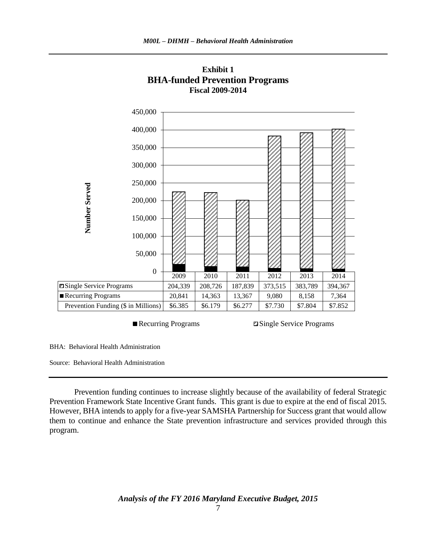

**Exhibit 1 BHA-funded Prevention Programs Fiscal 2009-2014**

Recurring Programs **Single Service Programs** 

BHA: Behavioral Health Administration

Source: Behavioral Health Administration

Prevention funding continues to increase slightly because of the availability of federal Strategic Prevention Framework State Incentive Grant funds. This grant is due to expire at the end of fiscal 2015. However, BHA intends to apply for a five-year SAMSHA Partnership for Success grant that would allow them to continue and enhance the State prevention infrastructure and services provided through this program.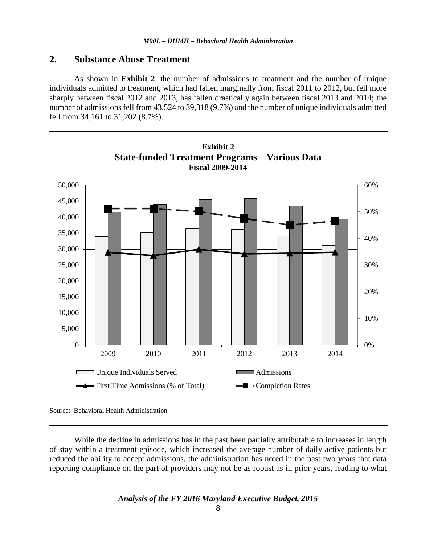## **2. Substance Abuse Treatment**

As shown in **Exhibit 2**, the number of admissions to treatment and the number of unique individuals admitted to treatment, which had fallen marginally from fiscal 2011 to 2012, but fell more sharply between fiscal 2012 and 2013, has fallen drastically again between fiscal 2013 and 2014; the number of admissions fell from 43,524 to 39,318 (9.7%) and the number of unique individuals admitted fell from 34,161 to 31,202 (8.7%).



**Exhibit 2 State-funded Treatment Programs – Various Data**

Source: Behavioral Health Administration

While the decline in admissions has in the past been partially attributable to increases in length of stay within a treatment episode, which increased the average number of daily active patients but reduced the ability to accept admissions, the administration has noted in the past two years that data reporting compliance on the part of providers may not be as robust as in prior years, leading to what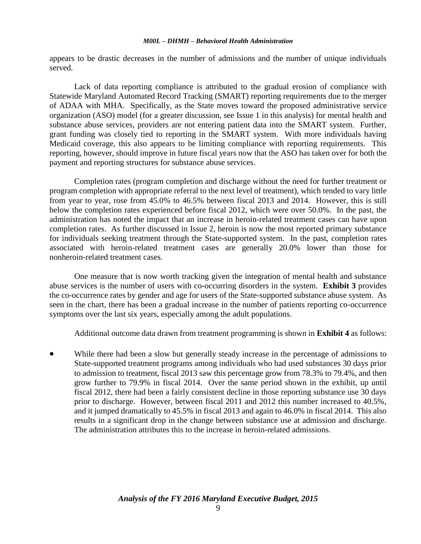appears to be drastic decreases in the number of admissions and the number of unique individuals served.

Lack of data reporting compliance is attributed to the gradual erosion of compliance with Statewide Maryland Automated Record Tracking (SMART) reporting requirements due to the merger of ADAA with MHA. Specifically, as the State moves toward the proposed administrative service organization (ASO) model (for a greater discussion, see Issue 1 in this analysis) for mental health and substance abuse services, providers are not entering patient data into the SMART system. Further, grant funding was closely tied to reporting in the SMART system. With more individuals having Medicaid coverage, this also appears to be limiting compliance with reporting requirements. This reporting, however, should improve in future fiscal years now that the ASO has taken over for both the payment and reporting structures for substance abuse services.

Completion rates (program completion and discharge without the need for further treatment or program completion with appropriate referral to the next level of treatment), which tended to vary little from year to year, rose from 45.0% to 46.5% between fiscal 2013 and 2014. However, this is still below the completion rates experienced before fiscal 2012, which were over 50.0%. In the past, the administration has noted the impact that an increase in heroin-related treatment cases can have upon completion rates. As further discussed in Issue 2, heroin is now the most reported primary substance for individuals seeking treatment through the State-supported system. In the past, completion rates associated with heroin-related treatment cases are generally 20.0% lower than those for nonheroin-related treatment cases.

One measure that is now worth tracking given the integration of mental health and substance abuse services is the number of users with co-occurring disorders in the system. **Exhibit 3** provides the co-occurrence rates by gender and age for users of the State-supported substance abuse system. As seen in the chart, there has been a gradual increase in the number of patients reporting co-occurrence symptoms over the last six years, especially among the adult populations.

Additional outcome data drawn from treatment programming is shown in **Exhibit 4** as follows:

 While there had been a slow but generally steady increase in the percentage of admissions to State-supported treatment programs among individuals who had used substances 30 days prior to admission to treatment, fiscal 2013 saw this percentage grow from 78.3% to 79.4%, and then grow further to 79.9% in fiscal 2014. Over the same period shown in the exhibit, up until fiscal 2012, there had been a fairly consistent decline in those reporting substance use 30 days prior to discharge. However, between fiscal 2011 and 2012 this number increased to 40.5%, and it jumped dramatically to 45.5% in fiscal 2013 and again to 46.0% in fiscal 2014. This also results in a significant drop in the change between substance use at admission and discharge. The administration attributes this to the increase in heroin-related admissions.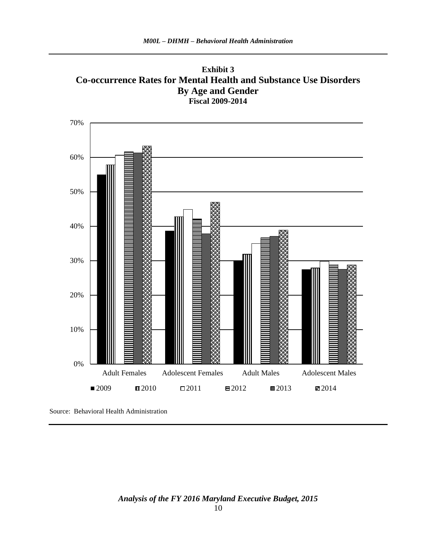



Source: Behavioral Health Administration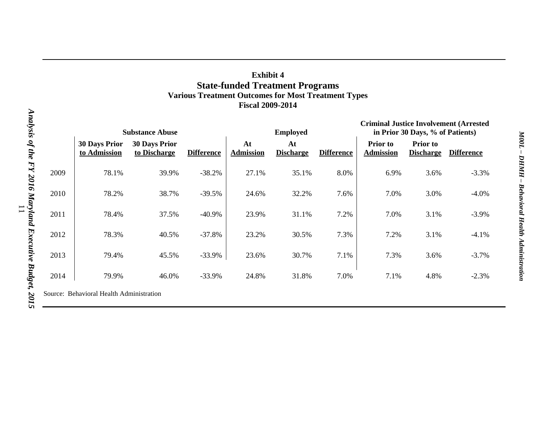| <b>Exhibit 4</b>                                           |  |  |  |  |
|------------------------------------------------------------|--|--|--|--|
| <b>State-funded Treatment Programs</b>                     |  |  |  |  |
| <b>Various Treatment Outcomes for Most Treatment Types</b> |  |  |  |  |
| <b>Fiscal 2009-2014</b>                                    |  |  |  |  |

| <b>Substance Abuse</b> |                                      |                                      |                   | <b>Employed</b>        |                        |                   | <b>Criminal Justice Involvement (Arrested</b><br>in Prior 30 Days, % of Patients) |                                     |                   |
|------------------------|--------------------------------------|--------------------------------------|-------------------|------------------------|------------------------|-------------------|-----------------------------------------------------------------------------------|-------------------------------------|-------------------|
|                        | <b>30 Days Prior</b><br>to Admission | <b>30 Days Prior</b><br>to Discharge | <b>Difference</b> | At<br><b>Admission</b> | At<br><b>Discharge</b> | <b>Difference</b> | <b>Prior</b> to<br><b>Admission</b>                                               | <b>Prior</b> to<br><b>Discharge</b> | <b>Difference</b> |
| 2009                   | 78.1%                                | 39.9%                                | $-38.2%$          | 27.1%                  | 35.1%                  | 8.0%              | 6.9%                                                                              | 3.6%                                | $-3.3%$           |
| 2010                   | 78.2%                                | 38.7%                                | $-39.5%$          | 24.6%                  | 32.2%                  | 7.6%              | 7.0%                                                                              | 3.0%                                | $-4.0%$           |
| 2011                   | 78.4%                                | 37.5%                                | $-40.9\%$         | 23.9%                  | 31.1%                  | 7.2%              | 7.0%                                                                              | 3.1%                                | $-3.9%$           |
| 2012                   | 78.3%                                | 40.5%                                | $-37.8%$          | 23.2%                  | 30.5%                  | 7.3%              | 7.2%                                                                              | 3.1%                                | $-4.1%$           |
| 2013                   | 79.4%                                | 45.5%                                | $-33.9%$          | 23.6%                  | 30.7%                  | 7.1%              | 7.3%                                                                              | 3.6%                                | $-3.7%$           |
| 2014                   | 79.9%                                | 46.0%                                | $-33.9%$          | 24.8%                  | 31.8%                  | 7.0%              | 7.1%                                                                              | 4.8%                                | $-2.3%$           |
|                        |                                      |                                      |                   |                        |                        |                   |                                                                                   |                                     |                   |

Source: Behavioral Health Administration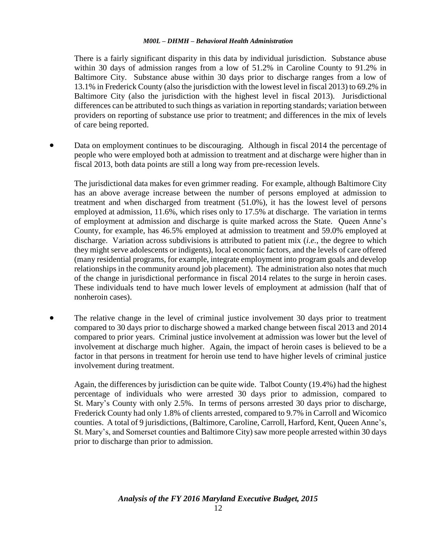There is a fairly significant disparity in this data by individual jurisdiction. Substance abuse within 30 days of admission ranges from a low of 51.2% in Caroline County to 91.2% in Baltimore City. Substance abuse within 30 days prior to discharge ranges from a low of 13.1% in Frederick County (also the jurisdiction with the lowest level in fiscal 2013) to 69.2% in Baltimore City (also the jurisdiction with the highest level in fiscal 2013). Jurisdictional differences can be attributed to such things as variation in reporting standards; variation between providers on reporting of substance use prior to treatment; and differences in the mix of levels of care being reported.

 Data on employment continues to be discouraging. Although in fiscal 2014 the percentage of people who were employed both at admission to treatment and at discharge were higher than in fiscal 2013, both data points are still a long way from pre-recession levels.

The jurisdictional data makes for even grimmer reading. For example, although Baltimore City has an above average increase between the number of persons employed at admission to treatment and when discharged from treatment (51.0%), it has the lowest level of persons employed at admission, 11.6%, which rises only to 17.5% at discharge. The variation in terms of employment at admission and discharge is quite marked across the State. Queen Anne's County, for example, has 46.5% employed at admission to treatment and 59.0% employed at discharge. Variation across subdivisions is attributed to patient mix (*i.e.*, the degree to which they might serve adolescents or indigents), local economic factors, and the levels of care offered (many residential programs, for example, integrate employment into program goals and develop relationships in the community around job placement). The administration also notes that much of the change in jurisdictional performance in fiscal 2014 relates to the surge in heroin cases. These individuals tend to have much lower levels of employment at admission (half that of nonheroin cases).

• The relative change in the level of criminal justice involvement 30 days prior to treatment compared to 30 days prior to discharge showed a marked change between fiscal 2013 and 2014 compared to prior years. Criminal justice involvement at admission was lower but the level of involvement at discharge much higher. Again, the impact of heroin cases is believed to be a factor in that persons in treatment for heroin use tend to have higher levels of criminal justice involvement during treatment.

Again, the differences by jurisdiction can be quite wide. Talbot County (19.4%) had the highest percentage of individuals who were arrested 30 days prior to admission, compared to St. Mary's County with only 2.5%. In terms of persons arrested 30 days prior to discharge, Frederick County had only 1.8% of clients arrested, compared to 9.7% in Carroll and Wicomico counties. A total of 9 jurisdictions, (Baltimore, Caroline, Carroll, Harford, Kent, Queen Anne's, St. Mary's, and Somerset counties and Baltimore City) saw more people arrested within 30 days prior to discharge than prior to admission.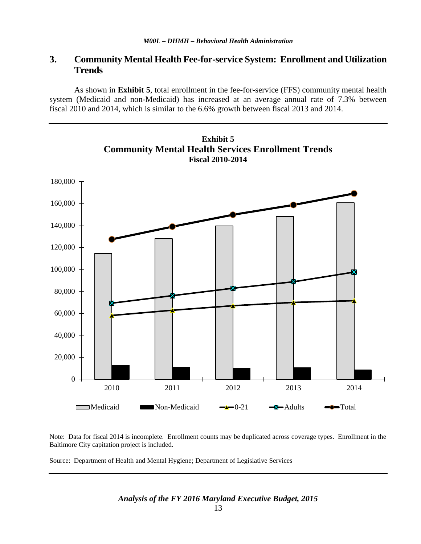## **3. Community Mental Health Fee-for-service System: Enrollment and Utilization Trends**

As shown in **Exhibit 5**, total enrollment in the fee-for-service (FFS) community mental health system (Medicaid and non-Medicaid) has increased at an average annual rate of 7.3% between fiscal 2010 and 2014, which is similar to the 6.6% growth between fiscal 2013 and 2014.



Note: Data for fiscal 2014 is incomplete. Enrollment counts may be duplicated across coverage types. Enrollment in the Baltimore City capitation project is included.

Source: Department of Health and Mental Hygiene; Department of Legislative Services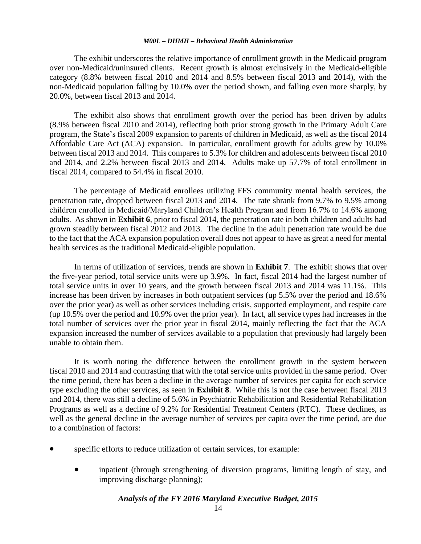The exhibit underscores the relative importance of enrollment growth in the Medicaid program over non-Medicaid/uninsured clients. Recent growth is almost exclusively in the Medicaid-eligible category (8.8% between fiscal 2010 and 2014 and 8.5% between fiscal 2013 and 2014), with the non-Medicaid population falling by 10.0% over the period shown, and falling even more sharply, by 20.0%, between fiscal 2013 and 2014.

The exhibit also shows that enrollment growth over the period has been driven by adults (8.9% between fiscal 2010 and 2014), reflecting both prior strong growth in the Primary Adult Care program, the State's fiscal 2009 expansion to parents of children in Medicaid, as well as the fiscal 2014 Affordable Care Act (ACA) expansion. In particular, enrollment growth for adults grew by 10.0% between fiscal 2013 and 2014. This compares to 5.3% for children and adolescents between fiscal 2010 and 2014, and 2.2% between fiscal 2013 and 2014. Adults make up 57.7% of total enrollment in fiscal 2014, compared to 54.4% in fiscal 2010.

The percentage of Medicaid enrollees utilizing FFS community mental health services, the penetration rate, dropped between fiscal 2013 and 2014. The rate shrank from 9.7% to 9.5% among children enrolled in Medicaid/Maryland Children's Health Program and from 16.7% to 14.6% among adults. As shown in **Exhibit 6**, prior to fiscal 2014, the penetration rate in both children and adults had grown steadily between fiscal 2012 and 2013. The decline in the adult penetration rate would be due to the fact that the ACA expansion population overall does not appear to have as great a need for mental health services as the traditional Medicaid-eligible population.

In terms of utilization of services, trends are shown in **Exhibit 7**. The exhibit shows that over the five-year period, total service units were up 3.9%. In fact, fiscal 2014 had the largest number of total service units in over 10 years, and the growth between fiscal 2013 and 2014 was 11.1%. This increase has been driven by increases in both outpatient services (up 5.5% over the period and 18.6% over the prior year) as well as other services including crisis, supported employment, and respite care (up 10.5% over the period and 10.9% over the prior year). In fact, all service types had increases in the total number of services over the prior year in fiscal 2014, mainly reflecting the fact that the ACA expansion increased the number of services available to a population that previously had largely been unable to obtain them.

It is worth noting the difference between the enrollment growth in the system between fiscal 2010 and 2014 and contrasting that with the total service units provided in the same period. Over the time period, there has been a decline in the average number of services per capita for each service type excluding the other services, as seen in **Exhibit 8**. While this is not the case between fiscal 2013 and 2014, there was still a decline of 5.6% in Psychiatric Rehabilitation and Residential Rehabilitation Programs as well as a decline of 9.2% for Residential Treatment Centers (RTC). These declines, as well as the general decline in the average number of services per capita over the time period, are due to a combination of factors:

- specific efforts to reduce utilization of certain services, for example:
	- inpatient (through strengthening of diversion programs, limiting length of stay, and improving discharge planning);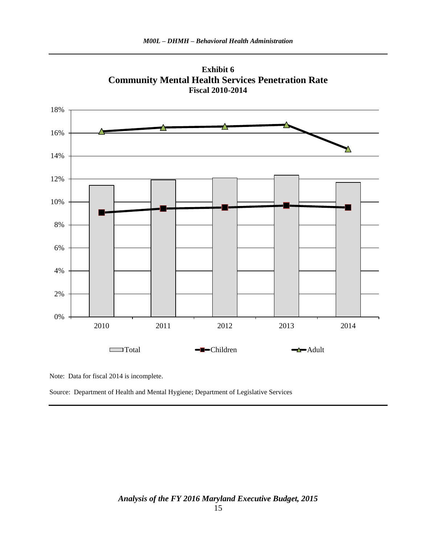

**Exhibit 6 Community Mental Health Services Penetration Rate**

Note: Data for fiscal 2014 is incomplete.

Source: Department of Health and Mental Hygiene; Department of Legislative Services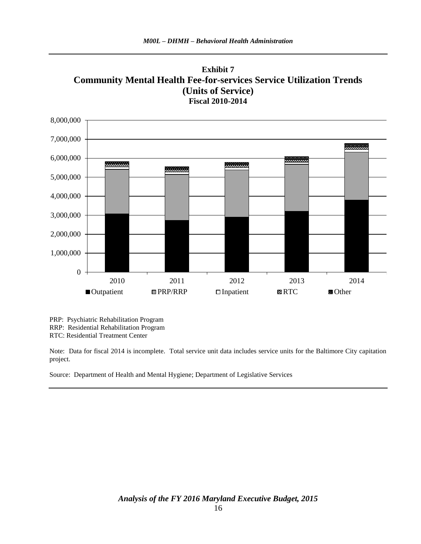



PRP: Psychiatric Rehabilitation Program

RRP: Residential Rehabilitation Program

RTC: Residential Treatment Center

Note: Data for fiscal 2014 is incomplete. Total service unit data includes service units for the Baltimore City capitation project.

Source: Department of Health and Mental Hygiene; Department of Legislative Services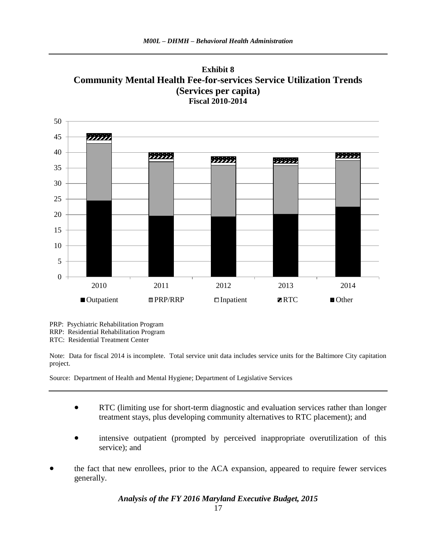



PRP: Psychiatric Rehabilitation Program

RRP: Residential Rehabilitation Program

RTC: Residential Treatment Center

Note: Data for fiscal 2014 is incomplete. Total service unit data includes service units for the Baltimore City capitation project.

Source: Department of Health and Mental Hygiene; Department of Legislative Services

- RTC (limiting use for short-term diagnostic and evaluation services rather than longer treatment stays, plus developing community alternatives to RTC placement); and
- intensive outpatient (prompted by perceived inappropriate overutilization of this service); and
- the fact that new enrollees, prior to the ACA expansion, appeared to require fewer services generally.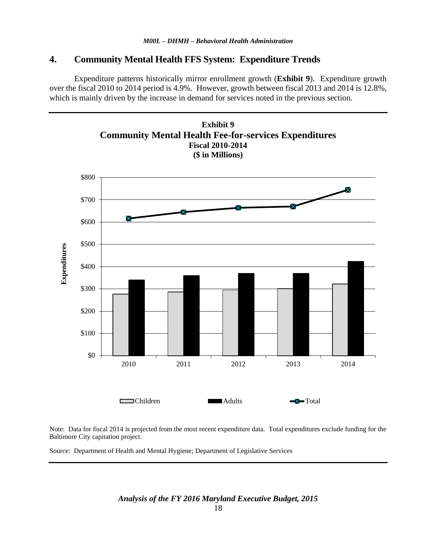## **4. Community Mental Health FFS System: Expenditure Trends**

Expenditure patterns historically mirror enrollment growth (**Exhibit 9**). Expenditure growth over the fiscal 2010 to 2014 period is 4.9%. However, growth between fiscal 2013 and 2014 is 12.8%, which is mainly driven by the increase in demand for services noted in the previous section.



Note: Data for fiscal 2014 is projected from the most recent expenditure data. Total expenditures exclude funding for the Baltimore City capitation project.

Source: Department of Health and Mental Hygiene; Department of Legislative Services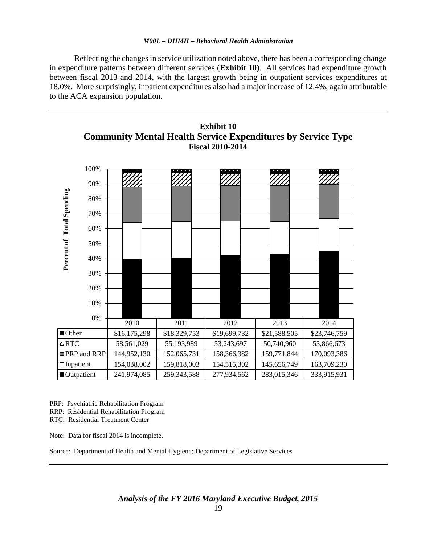Reflecting the changes in service utilization noted above, there has been a corresponding change in expenditure patterns between different services (**Exhibit 10)**. All services had expenditure growth between fiscal 2013 and 2014, with the largest growth being in outpatient services expenditures at 18.0%. More surprisingly, inpatient expenditures also had a major increase of 12.4%, again attributable to the ACA expansion population.



**Exhibit 10 Community Mental Health Service Expenditures by Service Type Fiscal 2010-2014**

PRP: Psychiatric Rehabilitation Program

RRP: Residential Rehabilitation Program

RTC: Residential Treatment Center

Note: Data for fiscal 2014 is incomplete.

Source: Department of Health and Mental Hygiene; Department of Legislative Services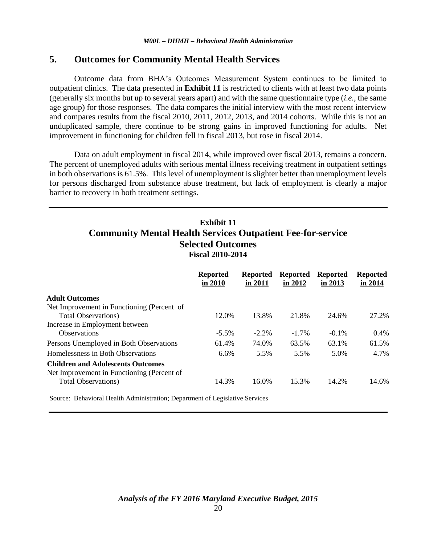## **5. Outcomes for Community Mental Health Services**

Outcome data from BHA's Outcomes Measurement System continues to be limited to outpatient clinics. The data presented in **Exhibit 11** is restricted to clients with at least two data points (generally six months but up to several years apart) and with the same questionnaire type (*i.e.*, the same age group) for those responses. The data compares the initial interview with the most recent interview and compares results from the fiscal 2010, 2011, 2012, 2013, and 2014 cohorts. While this is not an unduplicated sample, there continue to be strong gains in improved functioning for adults. Net improvement in functioning for children fell in fiscal 2013, but rose in fiscal 2014.

Data on adult employment in fiscal 2014, while improved over fiscal 2013, remains a concern. The percent of unemployed adults with serious mental illness receiving treatment in outpatient settings in both observations is 61.5%. This level of unemployment is slighter better than unemployment levels for persons discharged from substance abuse treatment, but lack of employment is clearly a major barrier to recovery in both treatment settings.

## **Exhibit 11 Community Mental Health Services Outpatient Fee-for-service Selected Outcomes Fiscal 2010-2014**

|                                                                                        | <b>Reported</b><br>in 2010 | <b>Reported</b><br>in 2011 | <b>Reported</b><br>in 2012 | <b>Reported</b><br>in $2013$ | <b>Reported</b><br>in 2014 |
|----------------------------------------------------------------------------------------|----------------------------|----------------------------|----------------------------|------------------------------|----------------------------|
| <b>Adult Outcomes</b>                                                                  |                            |                            |                            |                              |                            |
| Net Improvement in Functioning (Percent of                                             |                            |                            |                            |                              |                            |
| <b>Total Observations</b> )                                                            | 12.0%                      | 13.8%                      | 21.8%                      | 24.6%                        | 27.2%                      |
| Increase in Employment between                                                         |                            |                            |                            |                              |                            |
| <b>Observations</b>                                                                    | $-5.5\%$                   | $-2.2\%$                   | $-1.7\%$                   | $-0.1\%$                     | $0.4\%$                    |
| Persons Unemployed in Both Observations                                                | 61.4%                      | 74.0%                      | 63.5%                      | 63.1%                        | 61.5%                      |
| Homelessness in Both Observations                                                      | 6.6%                       | 5.5%                       | 5.5%                       | 5.0%                         | 4.7%                       |
| <b>Children and Adolescents Outcomes</b><br>Net Improvement in Functioning (Percent of |                            |                            |                            |                              |                            |
| <b>Total Observations</b> )                                                            | 14.3%                      | 16.0%                      | 15.3%                      | 14.2%                        | 14.6%                      |

Source: Behavioral Health Administration; Department of Legislative Services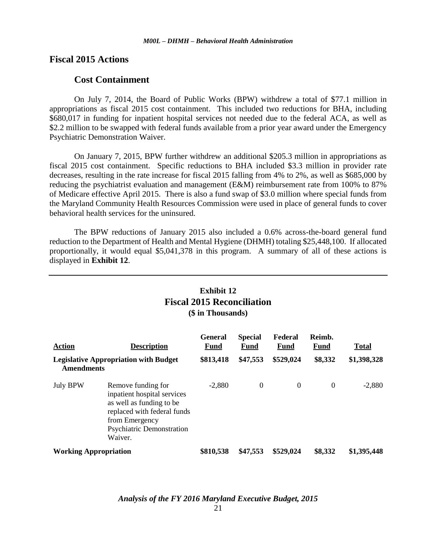## **Fiscal 2015 Actions**

## **Cost Containment**

On July 7, 2014, the Board of Public Works (BPW) withdrew a total of \$77.1 million in appropriations as fiscal 2015 cost containment. This included two reductions for BHA, including \$680,017 in funding for inpatient hospital services not needed due to the federal ACA, as well as \$2.2 million to be swapped with federal funds available from a prior year award under the Emergency Psychiatric Demonstration Waiver.

On January 7, 2015, BPW further withdrew an additional \$205.3 million in appropriations as fiscal 2015 cost containment. Specific reductions to BHA included \$3.3 million in provider rate decreases, resulting in the rate increase for fiscal 2015 falling from 4% to 2%, as well as \$685,000 by reducing the psychiatrist evaluation and management (E&M) reimbursement rate from 100% to 87% of Medicare effective April 2015. There is also a fund swap of \$3.0 million where special funds from the Maryland Community Health Resources Commission were used in place of general funds to cover behavioral health services for the uninsured.

The BPW reductions of January 2015 also included a 0.6% across-the-board general fund reduction to the Department of Health and Mental Hygiene (DHMH) totaling \$25,448,100. If allocated proportionally, it would equal \$5,041,378 in this program. A summary of all of these actions is displayed in **Exhibit 12**.

## **Exhibit 12 Fiscal 2015 Reconciliation (\$ in Thousands)**

| <b>Action</b>                                                     | <b>Description</b>                                                                                                                                                            | <b>General</b><br>Fund | <b>Special</b><br><b>Fund</b> | Federal<br>Fund | Reimb.<br><b>Fund</b> | <b>Total</b> |
|-------------------------------------------------------------------|-------------------------------------------------------------------------------------------------------------------------------------------------------------------------------|------------------------|-------------------------------|-----------------|-----------------------|--------------|
| <b>Legislative Appropriation with Budget</b><br><b>Amendments</b> |                                                                                                                                                                               | \$813,418              | \$47,553                      | \$529,024       | \$8,332               | \$1,398,328  |
| <b>July BPW</b>                                                   | Remove funding for<br>inpatient hospital services<br>as well as funding to be<br>replaced with federal funds<br>from Emergency<br><b>Psychiatric Demonstration</b><br>Waiver. | $-2,880$               | $\Omega$                      | $\Omega$        | $\Omega$              | $-2,880$     |
| <b>Working Appropriation</b>                                      |                                                                                                                                                                               | \$810,538              | \$47,553                      | \$529,024       | \$8,332               | \$1,395,448  |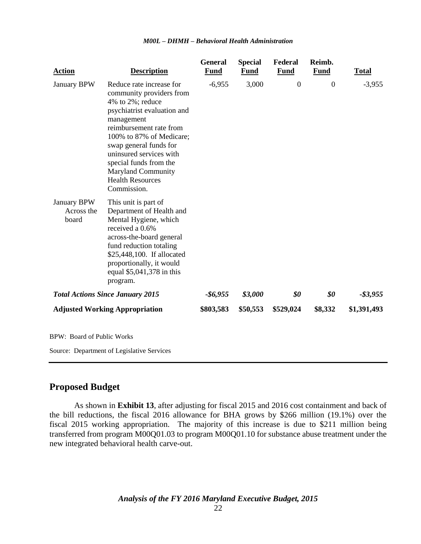| <b>Action</b>                         | <b>Description</b>                                                                                                                                                                                                                                                                                                                 | <b>General</b><br><b>Fund</b> | <b>Special</b><br><b>Fund</b> | Federal<br><b>Fund</b> | Reimb.<br><b>Fund</b> | <b>Total</b> |
|---------------------------------------|------------------------------------------------------------------------------------------------------------------------------------------------------------------------------------------------------------------------------------------------------------------------------------------------------------------------------------|-------------------------------|-------------------------------|------------------------|-----------------------|--------------|
| January BPW                           | Reduce rate increase for<br>community providers from<br>4% to 2%; reduce<br>psychiatrist evaluation and<br>management<br>reimbursement rate from<br>100% to 87% of Medicare;<br>swap general funds for<br>uninsured services with<br>special funds from the<br><b>Maryland Community</b><br><b>Health Resources</b><br>Commission. | $-6,955$                      | 3,000                         | $\boldsymbol{0}$       | $\boldsymbol{0}$      | $-3,955$     |
| January BPW<br>Across the<br>board    | This unit is part of<br>Department of Health and<br>Mental Hygiene, which<br>received a 0.6%<br>across-the-board general<br>fund reduction totaling<br>\$25,448,100. If allocated<br>proportionally, it would<br>equal \$5,041,378 in this<br>program.                                                                             |                               |                               |                        |                       |              |
|                                       | <b>Total Actions Since January 2015</b>                                                                                                                                                                                                                                                                                            | $-$6,955$                     | \$3,000                       | \$0                    | \$0                   | $-$ \$3,955  |
| <b>Adjusted Working Appropriation</b> |                                                                                                                                                                                                                                                                                                                                    | \$803,583                     | \$50,553                      | \$529,024              | \$8,332               | \$1,391,493  |
| <b>BPW: Board of Public Works</b>     |                                                                                                                                                                                                                                                                                                                                    |                               |                               |                        |                       |              |
|                                       | Source: Department of Legislative Services                                                                                                                                                                                                                                                                                         |                               |                               |                        |                       |              |

## **Proposed Budget**

As shown in **Exhibit 13**, after adjusting for fiscal 2015 and 2016 cost containment and back of the bill reductions, the fiscal 2016 allowance for BHA grows by \$266 million (19.1%) over the fiscal 2015 working appropriation. The majority of this increase is due to \$211 million being transferred from program M00Q01.03 to program M00Q01.10 for substance abuse treatment under the new integrated behavioral health carve-out.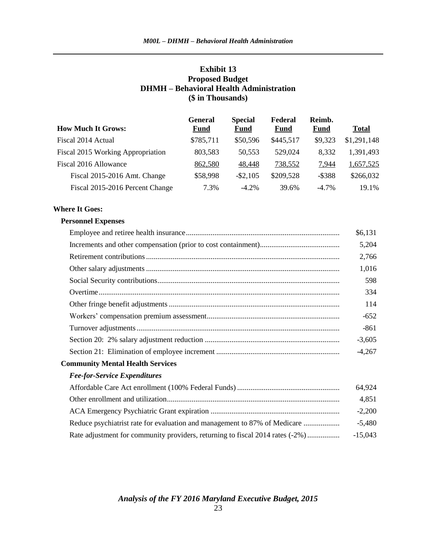### **Exhibit 13 Proposed Budget DHMH – Behavioral Health Administration (\$ in Thousands)**

|                                   | General     | <b>Special</b> | Federal     | Reimb.      |              |
|-----------------------------------|-------------|----------------|-------------|-------------|--------------|
| <b>How Much It Grows:</b>         | <b>Fund</b> | <b>Fund</b>    | <b>Fund</b> | <b>Fund</b> | <b>Total</b> |
| Fiscal 2014 Actual                | \$785,711   | \$50,596       | \$445,517   | \$9,323     | \$1,291,148  |
| Fiscal 2015 Working Appropriation | 803,583     | 50,553         | 529,024     | 8,332       | 1,391,493    |
| Fiscal 2016 Allowance             | 862,580     | 48,448         | 738,552     | 7,944       | 1,657,525    |
| Fiscal 2015-2016 Amt. Change      | \$58,998    | $-$ \$2,105    | \$209,528   | $-$ \$388   | \$266,032    |
| Fiscal 2015-2016 Percent Change   | 7.3%        | $-4.2\%$       | 39.6%       | $-4.7\%$    | 19.1%        |

### **Where It Goes:**

#### **Personnel Expenses**

|                                                                               | \$6,131   |
|-------------------------------------------------------------------------------|-----------|
|                                                                               | 5,204     |
|                                                                               | 2,766     |
|                                                                               | 1,016     |
|                                                                               | 598       |
|                                                                               | 334       |
|                                                                               | 114       |
|                                                                               | $-652$    |
|                                                                               | $-861$    |
|                                                                               | $-3,605$  |
|                                                                               | $-4,267$  |
| <b>Community Mental Health Services</b>                                       |           |
| <b>Fee-for-Service Expenditures</b>                                           |           |
|                                                                               | 64,924    |
|                                                                               | 4,851     |
|                                                                               | $-2,200$  |
| Reduce psychiatrist rate for evaluation and management to 87% of Medicare     | $-5,480$  |
| Rate adjustment for community providers, returning to fiscal 2014 rates (-2%) | $-15,043$ |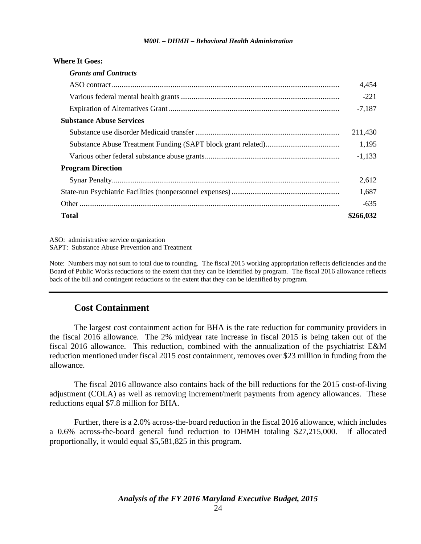| <b>Grants and Contracts</b>     |           |
|---------------------------------|-----------|
|                                 | 4,454     |
|                                 | $-221$    |
|                                 | $-7,187$  |
| <b>Substance Abuse Services</b> |           |
|                                 | 211,430   |
|                                 | 1,195     |
|                                 | $-1,133$  |
| <b>Program Direction</b>        |           |
|                                 | 2,612     |
|                                 | 1,687     |
|                                 | $-635$    |
| <b>Total</b>                    | \$266,032 |
|                                 |           |

ASO: administrative service organization SAPT: Substance Abuse Prevention and Treatment

**Where It Goes:**

Note: Numbers may not sum to total due to rounding. The fiscal 2015 working appropriation reflects deficiencies and the Board of Public Works reductions to the extent that they can be identified by program. The fiscal 2016 allowance reflects back of the bill and contingent reductions to the extent that they can be identified by program.

## **Cost Containment**

The largest cost containment action for BHA is the rate reduction for community providers in the fiscal 2016 allowance. The 2% midyear rate increase in fiscal 2015 is being taken out of the fiscal 2016 allowance. This reduction, combined with the annualization of the psychiatrist E&M reduction mentioned under fiscal 2015 cost containment, removes over \$23 million in funding from the allowance.

The fiscal 2016 allowance also contains back of the bill reductions for the 2015 cost-of-living adjustment (COLA) as well as removing increment/merit payments from agency allowances. These reductions equal \$7.8 million for BHA.

Further, there is a 2.0% across-the-board reduction in the fiscal 2016 allowance, which includes a 0.6% across-the-board general fund reduction to DHMH totaling \$27,215,000. If allocated proportionally, it would equal \$5,581,825 in this program.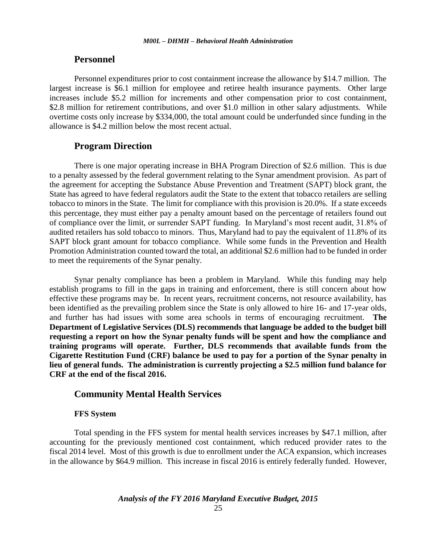### **Personnel**

Personnel expenditures prior to cost containment increase the allowance by \$14.7 million. The largest increase is \$6.1 million for employee and retiree health insurance payments. Other large increases include \$5.2 million for increments and other compensation prior to cost containment, \$2.8 million for retirement contributions, and over \$1.0 million in other salary adjustments. While overtime costs only increase by \$334,000, the total amount could be underfunded since funding in the allowance is \$4.2 million below the most recent actual.

### **Program Direction**

There is one major operating increase in BHA Program Direction of \$2.6 million. This is due to a penalty assessed by the federal government relating to the Synar amendment provision. As part of the agreement for accepting the Substance Abuse Prevention and Treatment (SAPT) block grant, the State has agreed to have federal regulators audit the State to the extent that tobacco retailers are selling tobacco to minors in the State. The limit for compliance with this provision is 20.0%. If a state exceeds this percentage, they must either pay a penalty amount based on the percentage of retailers found out of compliance over the limit, or surrender SAPT funding. In Maryland's most recent audit, 31.8% of audited retailers has sold tobacco to minors. Thus, Maryland had to pay the equivalent of 11.8% of its SAPT block grant amount for tobacco compliance. While some funds in the Prevention and Health Promotion Administration counted toward the total, an additional \$2.6 million had to be funded in order to meet the requirements of the Synar penalty.

Synar penalty compliance has been a problem in Maryland. While this funding may help establish programs to fill in the gaps in training and enforcement, there is still concern about how effective these programs may be. In recent years, recruitment concerns, not resource availability, has been identified as the prevailing problem since the State is only allowed to hire 16- and 17-year olds, and further has had issues with some area schools in terms of encouraging recruitment. **The Department of Legislative Services (DLS) recommends that language be added to the budget bill requesting a report on how the Synar penalty funds will be spent and how the compliance and training programs will operate. Further, DLS recommends that available funds from the Cigarette Restitution Fund (CRF) balance be used to pay for a portion of the Synar penalty in lieu of general funds. The administration is currently projecting a \$2.5 million fund balance for CRF at the end of the fiscal 2016.** 

## **Community Mental Health Services**

#### **FFS System**

Total spending in the FFS system for mental health services increases by \$47.1 million, after accounting for the previously mentioned cost containment, which reduced provider rates to the fiscal 2014 level. Most of this growth is due to enrollment under the ACA expansion, which increases in the allowance by \$64.9 million. This increase in fiscal 2016 is entirely federally funded. However,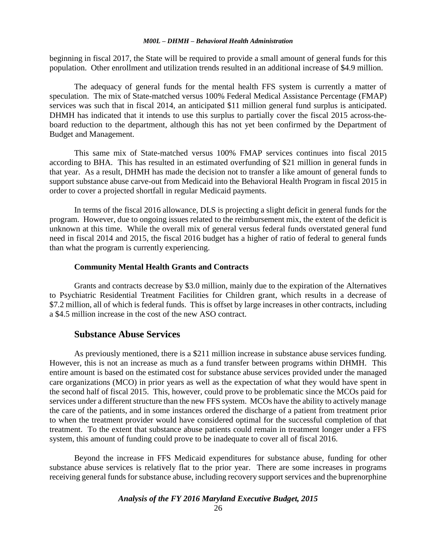beginning in fiscal 2017, the State will be required to provide a small amount of general funds for this population. Other enrollment and utilization trends resulted in an additional increase of \$4.9 million.

The adequacy of general funds for the mental health FFS system is currently a matter of speculation. The mix of State-matched versus 100% Federal Medical Assistance Percentage (FMAP) services was such that in fiscal 2014, an anticipated \$11 million general fund surplus is anticipated. DHMH has indicated that it intends to use this surplus to partially cover the fiscal 2015 across-theboard reduction to the department, although this has not yet been confirmed by the Department of Budget and Management.

This same mix of State-matched versus 100% FMAP services continues into fiscal 2015 according to BHA. This has resulted in an estimated overfunding of \$21 million in general funds in that year. As a result, DHMH has made the decision not to transfer a like amount of general funds to support substance abuse carve-out from Medicaid into the Behavioral Health Program in fiscal 2015 in order to cover a projected shortfall in regular Medicaid payments.

In terms of the fiscal 2016 allowance, DLS is projecting a slight deficit in general funds for the program. However, due to ongoing issues related to the reimbursement mix, the extent of the deficit is unknown at this time. While the overall mix of general versus federal funds overstated general fund need in fiscal 2014 and 2015, the fiscal 2016 budget has a higher of ratio of federal to general funds than what the program is currently experiencing.

### **Community Mental Health Grants and Contracts**

Grants and contracts decrease by \$3.0 million, mainly due to the expiration of the Alternatives to Psychiatric Residential Treatment Facilities for Children grant, which results in a decrease of \$7.2 million, all of which is federal funds. This is offset by large increases in other contracts, including a \$4.5 million increase in the cost of the new ASO contract.

### **Substance Abuse Services**

As previously mentioned, there is a \$211 million increase in substance abuse services funding. However, this is not an increase as much as a fund transfer between programs within DHMH. This entire amount is based on the estimated cost for substance abuse services provided under the managed care organizations (MCO) in prior years as well as the expectation of what they would have spent in the second half of fiscal 2015. This, however, could prove to be problematic since the MCOs paid for services under a different structure than the new FFS system. MCOs have the ability to actively manage the care of the patients, and in some instances ordered the discharge of a patient from treatment prior to when the treatment provider would have considered optimal for the successful completion of that treatment. To the extent that substance abuse patients could remain in treatment longer under a FFS system, this amount of funding could prove to be inadequate to cover all of fiscal 2016.

Beyond the increase in FFS Medicaid expenditures for substance abuse, funding for other substance abuse services is relatively flat to the prior year. There are some increases in programs receiving general funds for substance abuse, including recovery support services and the buprenorphine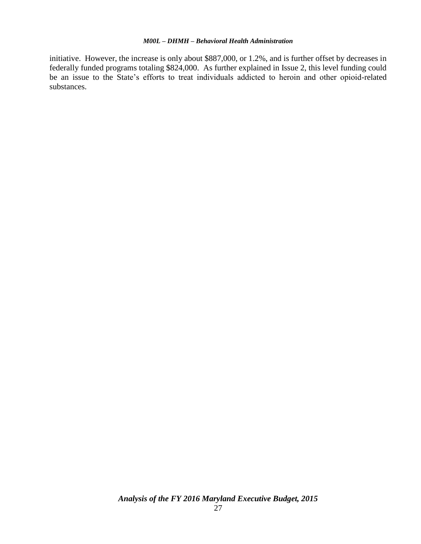initiative. However, the increase is only about \$887,000, or 1.2%, and is further offset by decreases in federally funded programs totaling \$824,000. As further explained in Issue 2, this level funding could be an issue to the State's efforts to treat individuals addicted to heroin and other opioid-related substances.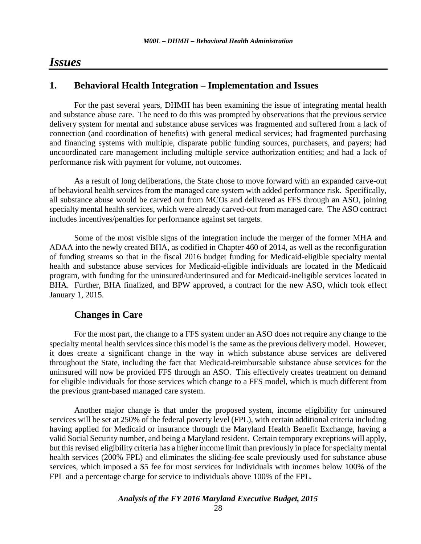## *Issues*

## **1. Behavioral Health Integration – Implementation and Issues**

For the past several years, DHMH has been examining the issue of integrating mental health and substance abuse care. The need to do this was prompted by observations that the previous service delivery system for mental and substance abuse services was fragmented and suffered from a lack of connection (and coordination of benefits) with general medical services; had fragmented purchasing and financing systems with multiple, disparate public funding sources, purchasers, and payers; had uncoordinated care management including multiple service authorization entities; and had a lack of performance risk with payment for volume, not outcomes.

As a result of long deliberations, the State chose to move forward with an expanded carve-out of behavioral health services from the managed care system with added performance risk. Specifically, all substance abuse would be carved out from MCOs and delivered as FFS through an ASO, joining specialty mental health services, which were already carved-out from managed care. The ASO contract includes incentives/penalties for performance against set targets.

Some of the most visible signs of the integration include the merger of the former MHA and ADAA into the newly created BHA, as codified in Chapter 460 of 2014, as well as the reconfiguration of funding streams so that in the fiscal 2016 budget funding for Medicaid-eligible specialty mental health and substance abuse services for Medicaid-eligible individuals are located in the Medicaid program, with funding for the uninsured/underinsured and for Medicaid-ineligible services located in BHA. Further, BHA finalized, and BPW approved, a contract for the new ASO, which took effect January 1, 2015.

## **Changes in Care**

For the most part, the change to a FFS system under an ASO does not require any change to the specialty mental health services since this model is the same as the previous delivery model. However, it does create a significant change in the way in which substance abuse services are delivered throughout the State, including the fact that Medicaid-reimbursable substance abuse services for the uninsured will now be provided FFS through an ASO. This effectively creates treatment on demand for eligible individuals for those services which change to a FFS model, which is much different from the previous grant-based managed care system.

Another major change is that under the proposed system, income eligibility for uninsured services will be set at 250% of the federal poverty level (FPL), with certain additional criteria including having applied for Medicaid or insurance through the Maryland Health Benefit Exchange, having a valid Social Security number, and being a Maryland resident. Certain temporary exceptions will apply, but this revised eligibility criteria has a higher income limit than previously in place for specialty mental health services (200% FPL) and eliminates the sliding-fee scale previously used for substance abuse services, which imposed a \$5 fee for most services for individuals with incomes below 100% of the FPL and a percentage charge for service to individuals above 100% of the FPL.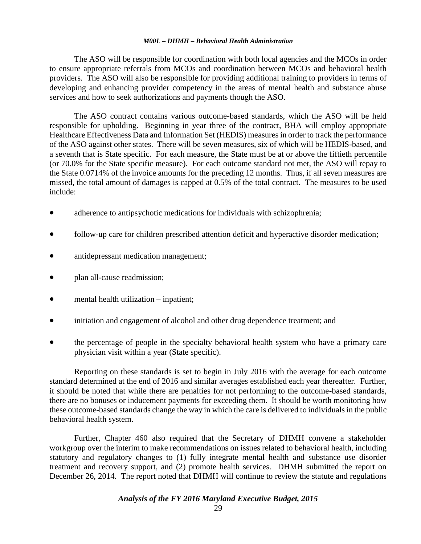The ASO will be responsible for coordination with both local agencies and the MCOs in order to ensure appropriate referrals from MCOs and coordination between MCOs and behavioral health providers. The ASO will also be responsible for providing additional training to providers in terms of developing and enhancing provider competency in the areas of mental health and substance abuse services and how to seek authorizations and payments though the ASO.

The ASO contract contains various outcome-based standards, which the ASO will be held responsible for upholding. Beginning in year three of the contract, BHA will employ appropriate Healthcare Effectiveness Data and Information Set (HEDIS) measures in order to track the performance of the ASO against other states. There will be seven measures, six of which will be HEDIS-based, and a seventh that is State specific. For each measure, the State must be at or above the fiftieth percentile (or 70.0% for the State specific measure). For each outcome standard not met, the ASO will repay to the State 0.0714% of the invoice amounts for the preceding 12 months. Thus, if all seven measures are missed, the total amount of damages is capped at 0.5% of the total contract. The measures to be used include:

- adherence to antipsychotic medications for individuals with schizophrenia;
- follow-up care for children prescribed attention deficit and hyperactive disorder medication;
- antidepressant medication management;
- plan all-cause readmission;
- mental health utilization inpatient;
- initiation and engagement of alcohol and other drug dependence treatment; and
- the percentage of people in the specialty behavioral health system who have a primary care physician visit within a year (State specific).

Reporting on these standards is set to begin in July 2016 with the average for each outcome standard determined at the end of 2016 and similar averages established each year thereafter. Further, it should be noted that while there are penalties for not performing to the outcome-based standards, there are no bonuses or inducement payments for exceeding them. It should be worth monitoring how these outcome-based standards change the way in which the care is delivered to individuals in the public behavioral health system.

Further, Chapter 460 also required that the Secretary of DHMH convene a stakeholder workgroup over the interim to make recommendations on issues related to behavioral health, including statutory and regulatory changes to (1) fully integrate mental health and substance use disorder treatment and recovery support, and (2) promote health services. DHMH submitted the report on December 26, 2014. The report noted that DHMH will continue to review the statute and regulations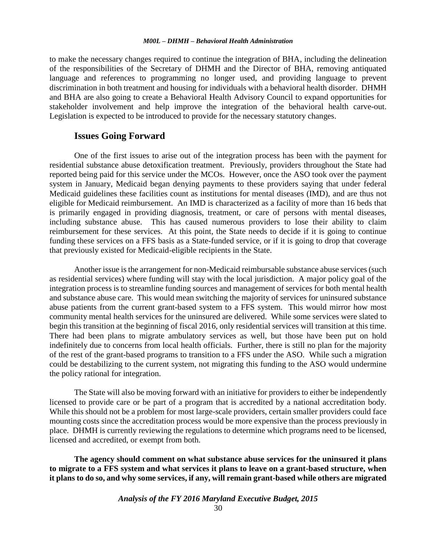to make the necessary changes required to continue the integration of BHA, including the delineation of the responsibilities of the Secretary of DHMH and the Director of BHA, removing antiquated language and references to programming no longer used, and providing language to prevent discrimination in both treatment and housing for individuals with a behavioral health disorder. DHMH and BHA are also going to create a Behavioral Health Advisory Council to expand opportunities for stakeholder involvement and help improve the integration of the behavioral health carve-out. Legislation is expected to be introduced to provide for the necessary statutory changes.

### **Issues Going Forward**

One of the first issues to arise out of the integration process has been with the payment for residential substance abuse detoxification treatment. Previously, providers throughout the State had reported being paid for this service under the MCOs. However, once the ASO took over the payment system in January, Medicaid began denying payments to these providers saying that under federal Medicaid guidelines these facilities count as institutions for mental diseases (IMD), and are thus not eligible for Medicaid reimbursement. An IMD is characterized as a facility of more than 16 beds that is primarily engaged in providing diagnosis, treatment, or care of persons with mental diseases, including substance abuse. This has caused numerous providers to lose their ability to claim reimbursement for these services. At this point, the State needs to decide if it is going to continue funding these services on a FFS basis as a State-funded service, or if it is going to drop that coverage that previously existed for Medicaid-eligible recipients in the State.

Another issue is the arrangement for non-Medicaid reimbursable substance abuse services (such as residential services) where funding will stay with the local jurisdiction. A major policy goal of the integration process is to streamline funding sources and management of services for both mental health and substance abuse care. This would mean switching the majority of services for uninsured substance abuse patients from the current grant-based system to a FFS system. This would mirror how most community mental health services for the uninsured are delivered. While some services were slated to begin this transition at the beginning of fiscal 2016, only residential services will transition at this time. There had been plans to migrate ambulatory services as well, but those have been put on hold indefinitely due to concerns from local health officials. Further, there is still no plan for the majority of the rest of the grant-based programs to transition to a FFS under the ASO. While such a migration could be destabilizing to the current system, not migrating this funding to the ASO would undermine the policy rational for integration.

The State will also be moving forward with an initiative for providers to either be independently licensed to provide care or be part of a program that is accredited by a national accreditation body. While this should not be a problem for most large-scale providers, certain smaller providers could face mounting costs since the accreditation process would be more expensive than the process previously in place. DHMH is currently reviewing the regulations to determine which programs need to be licensed, licensed and accredited, or exempt from both.

**The agency should comment on what substance abuse services for the uninsured it plans to migrate to a FFS system and what services it plans to leave on a grant-based structure, when it plans to do so, and why some services, if any, will remain grant-based while others are migrated**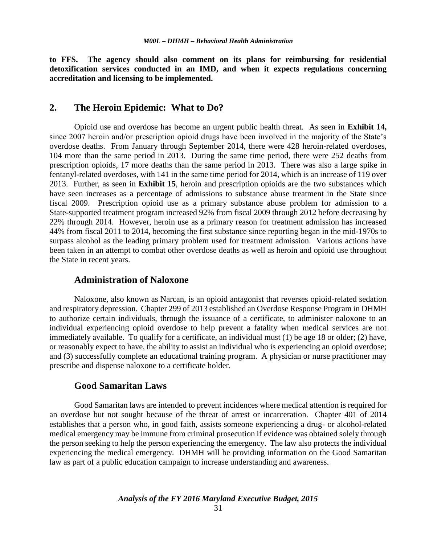**to FFS. The agency should also comment on its plans for reimbursing for residential detoxification services conducted in an IMD, and when it expects regulations concerning accreditation and licensing to be implemented.**

### **2. The Heroin Epidemic: What to Do?**

Opioid use and overdose has become an urgent public health threat. As seen in **Exhibit 14,**  since 2007 heroin and/or prescription opioid drugs have been involved in the majority of the State's overdose deaths. From January through September 2014, there were 428 heroin-related overdoses, 104 more than the same period in 2013. During the same time period, there were 252 deaths from prescription opioids, 17 more deaths than the same period in 2013. There was also a large spike in fentanyl-related overdoses, with 141 in the same time period for 2014, which is an increase of 119 over 2013. Further, as seen in **Exhibit 15**, heroin and prescription opioids are the two substances which have seen increases as a percentage of admissions to substance abuse treatment in the State since fiscal 2009. Prescription opioid use as a primary substance abuse problem for admission to a State-supported treatment program increased 92% from fiscal 2009 through 2012 before decreasing by 22% through 2014. However, heroin use as a primary reason for treatment admission has increased 44% from fiscal 2011 to 2014, becoming the first substance since reporting began in the mid-1970s to surpass alcohol as the leading primary problem used for treatment admission. Various actions have been taken in an attempt to combat other overdose deaths as well as heroin and opioid use throughout the State in recent years.

## **Administration of Naloxone**

Naloxone, also known as Narcan, is an opioid antagonist that reverses opioid-related sedation and respiratory depression. Chapter 299 of 2013 established an Overdose Response Program in DHMH to authorize certain individuals, through the issuance of a certificate, to administer naloxone to an individual experiencing opioid overdose to help prevent a fatality when medical services are not immediately available. To qualify for a certificate, an individual must (1) be age 18 or older; (2) have, or reasonably expect to have, the ability to assist an individual who is experiencing an opioid overdose; and (3) successfully complete an educational training program. A physician or nurse practitioner may prescribe and dispense naloxone to a certificate holder.

## **Good Samaritan Laws**

Good Samaritan laws are intended to prevent incidences where medical attention is required for an overdose but not sought because of the threat of arrest or incarceration. Chapter 401 of 2014 establishes that a person who, in good faith, assists someone experiencing a drug- or alcohol-related medical emergency may be immune from criminal prosecution if evidence was obtained solely through the person seeking to help the person experiencing the emergency. The law also protects the individual experiencing the medical emergency. DHMH will be providing information on the Good Samaritan law as part of a public education campaign to increase understanding and awareness.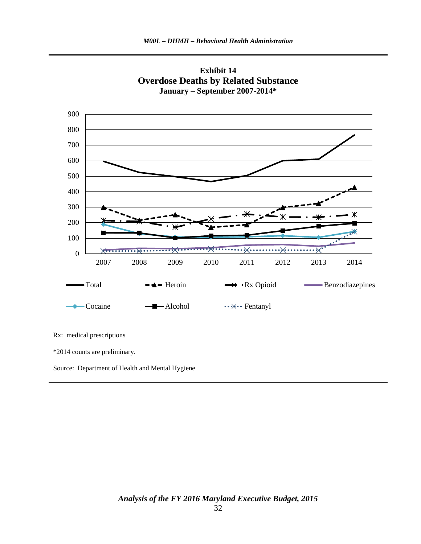



Source: Department of Health and Mental Hygiene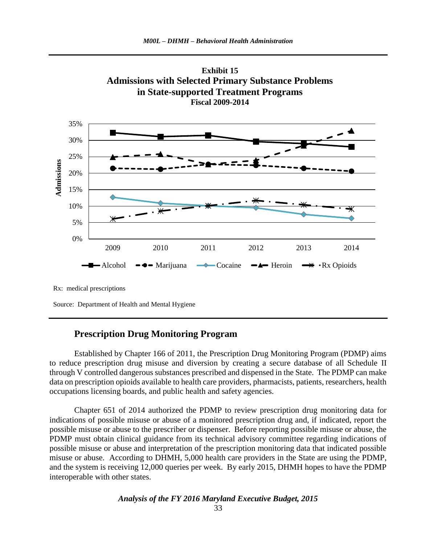

**Admissions with Selected Primary Substance Problems**

**Exhibit 15**

Rx: medical prescriptions

Source: Department of Health and Mental Hygiene

## **Prescription Drug Monitoring Program**

Established by Chapter 166 of 2011, the Prescription Drug Monitoring Program (PDMP) aims to reduce prescription drug misuse and diversion by creating a secure database of all Schedule II through V controlled dangerous substances prescribed and dispensed in the State. The PDMP can make data on prescription opioids available to health care providers, pharmacists, patients, researchers, health occupations licensing boards, and public health and safety agencies.

Chapter 651 of 2014 authorized the PDMP to review prescription drug monitoring data for indications of possible misuse or abuse of a monitored prescription drug and, if indicated, report the possible misuse or abuse to the prescriber or dispenser. Before reporting possible misuse or abuse, the PDMP must obtain clinical guidance from its technical advisory committee regarding indications of possible misuse or abuse and interpretation of the prescription monitoring data that indicated possible misuse or abuse. According to DHMH, 5,000 health care providers in the State are using the PDMP, and the system is receiving 12,000 queries per week. By early 2015, DHMH hopes to have the PDMP interoperable with other states.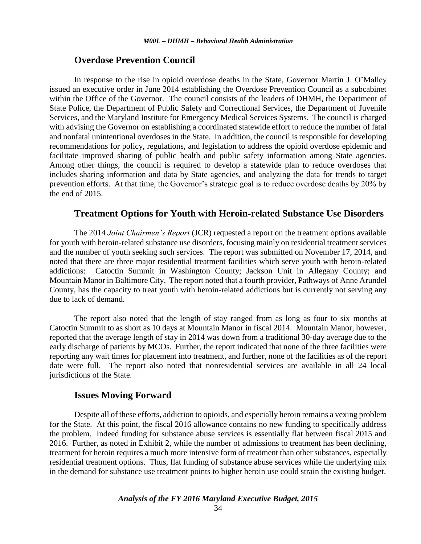#### **Overdose Prevention Council**

In response to the rise in opioid overdose deaths in the State, Governor Martin J. O'Malley issued an executive order in June 2014 establishing the Overdose Prevention Council as a subcabinet within the Office of the Governor. The council consists of the leaders of DHMH, the Department of State Police, the Department of Public Safety and Correctional Services, the Department of Juvenile Services, and the Maryland Institute for Emergency Medical Services Systems. The council is charged with advising the Governor on establishing a coordinated statewide effort to reduce the number of fatal and nonfatal unintentional overdoses in the State. In addition, the council is responsible for developing recommendations for policy, regulations, and legislation to address the opioid overdose epidemic and facilitate improved sharing of public health and public safety information among State agencies*.*  Among other things, the council is required to develop a statewide plan to reduce overdoses that includes sharing information and data by State agencies, and analyzing the data for trends to target prevention efforts. At that time, the Governor's strategic goal is to reduce overdose deaths by 20% by the end of 2015.

#### **Treatment Options for Youth with Heroin-related Substance Use Disorders**

The 2014 *Joint Chairmen's Report* (JCR) requested a report on the treatment options available for youth with heroin-related substance use disorders, focusing mainly on residential treatment services and the number of youth seeking such services. The report was submitted on November 17, 2014, and noted that there are three major residential treatment facilities which serve youth with heroin-related addictions: Catoctin Summit in Washington County; Jackson Unit in Allegany County; and Mountain Manor in Baltimore City. The report noted that a fourth provider, Pathways of Anne Arundel County, has the capacity to treat youth with heroin-related addictions but is currently not serving any due to lack of demand.

The report also noted that the length of stay ranged from as long as four to six months at Catoctin Summit to as short as 10 days at Mountain Manor in fiscal 2014. Mountain Manor, however, reported that the average length of stay in 2014 was down from a traditional 30-day average due to the early discharge of patients by MCOs. Further, the report indicated that none of the three facilities were reporting any wait times for placement into treatment, and further, none of the facilities as of the report date were full. The report also noted that nonresidential services are available in all 24 local jurisdictions of the State.

### **Issues Moving Forward**

Despite all of these efforts, addiction to opioids, and especially heroin remains a vexing problem for the State. At this point, the fiscal 2016 allowance contains no new funding to specifically address the problem. Indeed funding for substance abuse services is essentially flat between fiscal 2015 and 2016. Further, as noted in Exhibit 2, while the number of admissions to treatment has been declining, treatment for heroin requires a much more intensive form of treatment than other substances, especially residential treatment options. Thus, flat funding of substance abuse services while the underlying mix in the demand for substance use treatment points to higher heroin use could strain the existing budget.

```
Analysis of the FY 2016 Maryland Executive Budget, 2015
```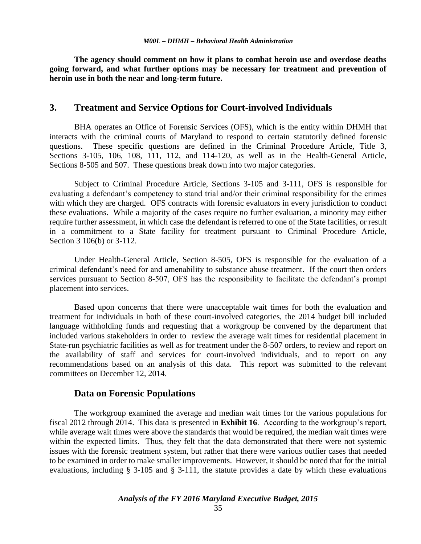**The agency should comment on how it plans to combat heroin use and overdose deaths going forward, and what further options may be necessary for treatment and prevention of heroin use in both the near and long-term future.**

## **3. Treatment and Service Options for Court-involved Individuals**

BHA operates an Office of Forensic Services (OFS), which is the entity within DHMH that interacts with the criminal courts of Maryland to respond to certain statutorily defined forensic questions. These specific questions are defined in the Criminal Procedure Article, Title 3, Sections 3-105, 106, 108, 111, 112, and 114-120, as well as in the Health-General Article, Sections 8-505 and 507. These questions break down into two major categories.

Subject to Criminal Procedure Article, Sections 3-105 and 3-111, OFS is responsible for evaluating a defendant's competency to stand trial and/or their criminal responsibility for the crimes with which they are charged. OFS contracts with forensic evaluators in every jurisdiction to conduct these evaluations. While a majority of the cases require no further evaluation, a minority may either require further assessment, in which case the defendant is referred to one of the State facilities, or result in a commitment to a State facility for treatment pursuant to Criminal Procedure Article, Section 3 106(b) or 3-112.

Under Health-General Article, Section 8-505, OFS is responsible for the evaluation of a criminal defendant's need for and amenability to substance abuse treatment. If the court then orders services pursuant to Section 8-507, OFS has the responsibility to facilitate the defendant's prompt placement into services.

Based upon concerns that there were unacceptable wait times for both the evaluation and treatment for individuals in both of these court-involved categories, the 2014 budget bill included language withholding funds and requesting that a workgroup be convened by the department that included various stakeholders in order to review the average wait times for residential placement in State-run psychiatric facilities as well as for treatment under the 8-507 orders, to review and report on the availability of staff and services for court-involved individuals, and to report on any recommendations based on an analysis of this data. This report was submitted to the relevant committees on December 12, 2014.

### **Data on Forensic Populations**

The workgroup examined the average and median wait times for the various populations for fiscal 2012 through 2014. This data is presented in **Exhibit 16**. According to the workgroup's report, while average wait times were above the standards that would be required, the median wait times were within the expected limits. Thus, they felt that the data demonstrated that there were not systemic issues with the forensic treatment system, but rather that there were various outlier cases that needed to be examined in order to make smaller improvements. However, it should be noted that for the initial evaluations, including § 3-105 and § 3-111, the statute provides a date by which these evaluations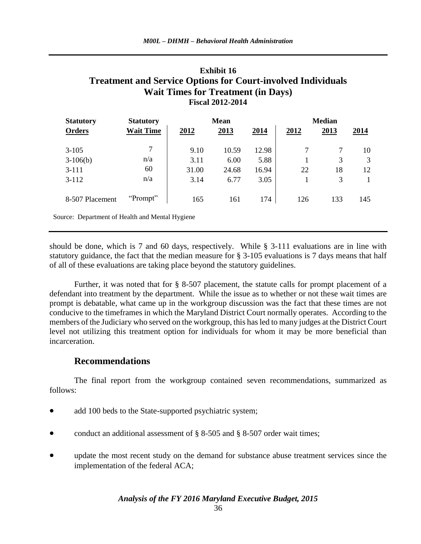## **Exhibit 16 Treatment and Service Options for Court-involved Individuals Wait Times for Treatment (in Days) Fiscal 2012-2014**

| <b>Statutory</b> | <b>Statutory</b> | <b>Mean</b> |       |       | <b>Median</b> |      |      |  |
|------------------|------------------|-------------|-------|-------|---------------|------|------|--|
| <b>Orders</b>    | <b>Wait Time</b> | 2012        | 2013  | 2014  | 2012          | 2013 | 2014 |  |
|                  |                  |             |       |       |               |      |      |  |
| $3-105$          | 7                | 9.10        | 10.59 | 12.98 |               | 7    | 10   |  |
| $3-106(b)$       | n/a              | 3.11        | 6.00  | 5.88  |               | 3    | 3    |  |
| $3-111$          | 60               | 31.00       | 24.68 | 16.94 | 22            | 18   | 12   |  |
| $3 - 112$        | n/a              | 3.14        | 6.77  | 3.05  |               | 3    |      |  |
|                  |                  |             |       |       |               |      |      |  |
| 8-507 Placement  | "Prompt"         | 165         | 161   | 174   | 126           | 133  | 145  |  |
|                  |                  |             |       |       |               |      |      |  |

Source: Department of Health and Mental Hygiene

should be done, which is 7 and 60 days, respectively. While § 3-111 evaluations are in line with statutory guidance, the fact that the median measure for § 3-105 evaluations is 7 days means that half of all of these evaluations are taking place beyond the statutory guidelines.

Further, it was noted that for § 8-507 placement, the statute calls for prompt placement of a defendant into treatment by the department. While the issue as to whether or not these wait times are prompt is debatable, what came up in the workgroup discussion was the fact that these times are not conducive to the timeframes in which the Maryland District Court normally operates. According to the members of the Judiciary who served on the workgroup, this has led to many judges at the District Court level not utilizing this treatment option for individuals for whom it may be more beneficial than incarceration.

## **Recommendations**

The final report from the workgroup contained seven recommendations, summarized as follows:

- add 100 beds to the State-supported psychiatric system;
- conduct an additional assessment of  $\S$  8-505 and  $\S$  8-507 order wait times;
- update the most recent study on the demand for substance abuse treatment services since the implementation of the federal ACA;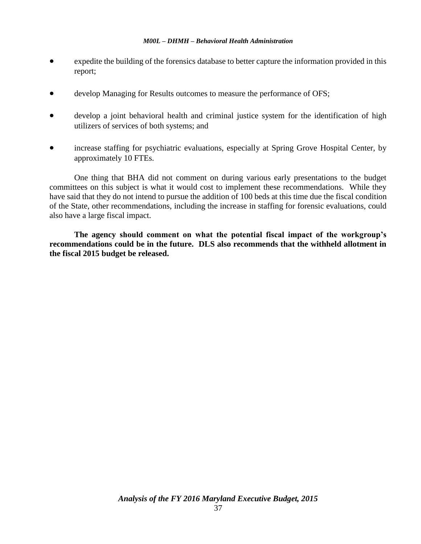- expedite the building of the forensics database to better capture the information provided in this report;
- develop Managing for Results outcomes to measure the performance of OFS;
- develop a joint behavioral health and criminal justice system for the identification of high utilizers of services of both systems; and
- increase staffing for psychiatric evaluations, especially at Spring Grove Hospital Center, by approximately 10 FTEs.

One thing that BHA did not comment on during various early presentations to the budget committees on this subject is what it would cost to implement these recommendations. While they have said that they do not intend to pursue the addition of 100 beds at this time due the fiscal condition of the State, other recommendations, including the increase in staffing for forensic evaluations, could also have a large fiscal impact.

**The agency should comment on what the potential fiscal impact of the workgroup's recommendations could be in the future. DLS also recommends that the withheld allotment in the fiscal 2015 budget be released.**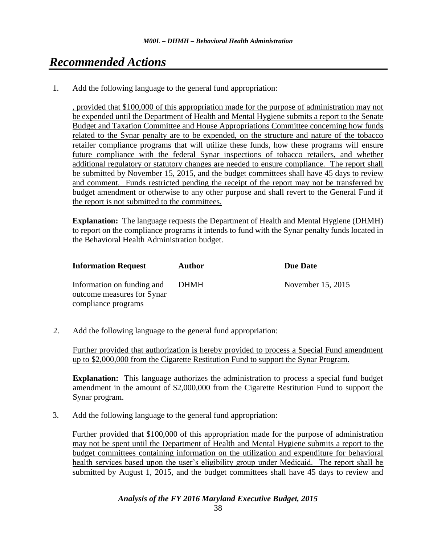# *Recommended Actions*

1. Add the following language to the general fund appropriation:

, provided that \$100,000 of this appropriation made for the purpose of administration may not be expended until the Department of Health and Mental Hygiene submits a report to the Senate Budget and Taxation Committee and House Appropriations Committee concerning how funds related to the Synar penalty are to be expended, on the structure and nature of the tobacco retailer compliance programs that will utilize these funds, how these programs will ensure future compliance with the federal Synar inspections of tobacco retailers, and whether additional regulatory or statutory changes are needed to ensure compliance. The report shall be submitted by November 15, 2015, and the budget committees shall have 45 days to review and comment. Funds restricted pending the receipt of the report may not be transferred by budget amendment or otherwise to any other purpose and shall revert to the General Fund if the report is not submitted to the committees.

**Explanation:** The language requests the Department of Health and Mental Hygiene (DHMH) to report on the compliance programs it intends to fund with the Synar penalty funds located in the Behavioral Health Administration budget.

| <b>Information Request</b>                                                      | <b>Author</b> | Due Date          |
|---------------------------------------------------------------------------------|---------------|-------------------|
| Information on funding and<br>outcome measures for Synar<br>compliance programs | DHMH          | November 15, 2015 |

2. Add the following language to the general fund appropriation:

Further provided that authorization is hereby provided to process a Special Fund amendment up to \$2,000,000 from the Cigarette Restitution Fund to support the Synar Program.

**Explanation:** This language authorizes the administration to process a special fund budget amendment in the amount of \$2,000,000 from the Cigarette Restitution Fund to support the Synar program.

3. Add the following language to the general fund appropriation:

Further provided that \$100,000 of this appropriation made for the purpose of administration may not be spent until the Department of Health and Mental Hygiene submits a report to the budget committees containing information on the utilization and expenditure for behavioral health services based upon the user's eligibility group under Medicaid. The report shall be submitted by August 1, 2015, and the budget committees shall have 45 days to review and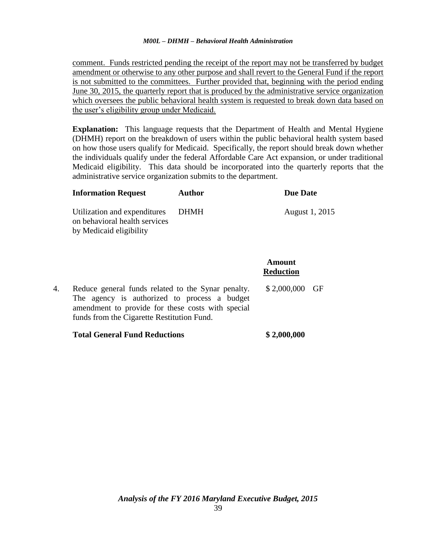comment. Funds restricted pending the receipt of the report may not be transferred by budget amendment or otherwise to any other purpose and shall revert to the General Fund if the report is not submitted to the committees. Further provided that, beginning with the period ending June 30, 2015, the quarterly report that is produced by the administrative service organization which oversees the public behavioral health system is requested to break down data based on the user's eligibility group under Medicaid.

**Explanation:** This language requests that the Department of Health and Mental Hygiene (DHMH) report on the breakdown of users within the public behavioral health system based on how those users qualify for Medicaid. Specifically, the report should break down whether the individuals qualify under the federal Affordable Care Act expansion, or under traditional Medicaid eligibility. This data should be incorporated into the quarterly reports that the administrative service organization submits to the department.

**Amount**

| <b>Information Request</b>                                                               | Author | Due Date       |
|------------------------------------------------------------------------------------------|--------|----------------|
| Utilization and expenditures<br>on behavioral health services<br>by Medicaid eligibility | -DHMH  | August 1, 2015 |

| $$2,000,000$ GF<br>Reduce general funds related to the Synar penalty.<br>4.<br>The agency is authorized to process a budget<br>amendment to provide for these costs with special<br>funds from the Cigarette Restitution Fund. |  | Amount<br><b>Reduction</b> |  |
|--------------------------------------------------------------------------------------------------------------------------------------------------------------------------------------------------------------------------------|--|----------------------------|--|
|                                                                                                                                                                                                                                |  |                            |  |

### **Total General Fund Reductions \$ 2,000,000**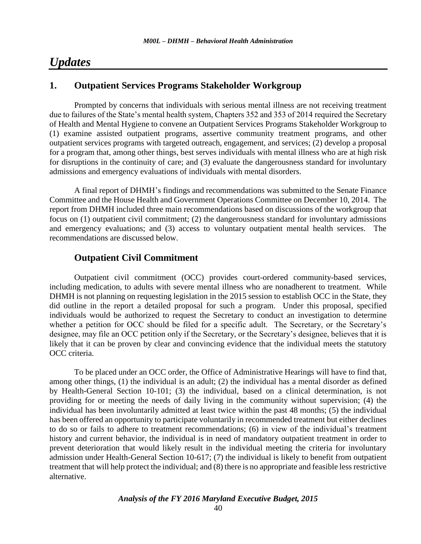## *Updates*

## **1. Outpatient Services Programs Stakeholder Workgroup**

Prompted by concerns that individuals with serious mental illness are not receiving treatment due to failures of the State's mental health system, Chapters 352 and 353 of 2014 required the Secretary of Health and Mental Hygiene to convene an Outpatient Services Programs Stakeholder Workgroup to (1) examine assisted outpatient programs, assertive community treatment programs, and other outpatient services programs with targeted outreach, engagement, and services; (2) develop a proposal for a program that, among other things, best serves individuals with mental illness who are at high risk for disruptions in the continuity of care; and (3) evaluate the dangerousness standard for involuntary admissions and emergency evaluations of individuals with mental disorders.

A final report of DHMH's findings and recommendations was submitted to the Senate Finance Committee and the House Health and Government Operations Committee on December 10, 2014. The report from DHMH included three main recommendations based on discussions of the workgroup that focus on (1) outpatient civil commitment; (2) the dangerousness standard for involuntary admissions and emergency evaluations; and (3) access to voluntary outpatient mental health services. The recommendations are discussed below.

## **Outpatient Civil Commitment**

Outpatient civil commitment (OCC) provides court-ordered community-based services, including medication, to adults with severe mental illness who are nonadherent to treatment. While DHMH is not planning on requesting legislation in the 2015 session to establish OCC in the State, they did outline in the report a detailed proposal for such a program. Under this proposal, specified individuals would be authorized to request the Secretary to conduct an investigation to determine whether a petition for OCC should be filed for a specific adult. The Secretary, or the Secretary's designee, may file an OCC petition only if the Secretary, or the Secretary's designee, believes that it is likely that it can be proven by clear and convincing evidence that the individual meets the statutory OCC criteria.

To be placed under an OCC order, the Office of Administrative Hearings will have to find that, among other things, (1) the individual is an adult; (2) the individual has a mental disorder as defined by Health-General Section 10-101; (3) the individual, based on a clinical determination, is not providing for or meeting the needs of daily living in the community without supervision; (4) the individual has been involuntarily admitted at least twice within the past 48 months; (5) the individual has been offered an opportunity to participate voluntarily in recommended treatment but either declines to do so or fails to adhere to treatment recommendations; (6) in view of the individual's treatment history and current behavior, the individual is in need of mandatory outpatient treatment in order to prevent deterioration that would likely result in the individual meeting the criteria for involuntary admission under Health-General Section 10-617; (7) the individual is likely to benefit from outpatient treatment that will help protect the individual; and (8) there is no appropriate and feasible less restrictive alternative.

*Analysis of the FY 2016 Maryland Executive Budget, 2015*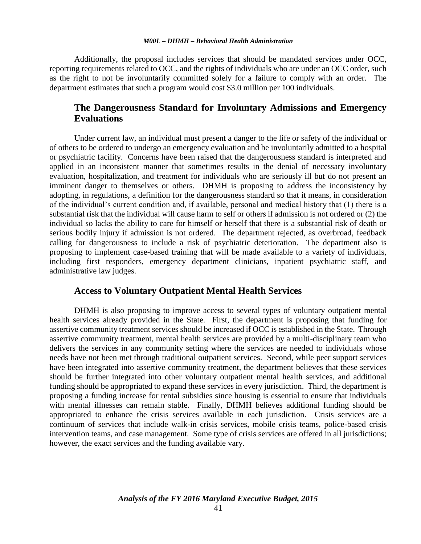Additionally, the proposal includes services that should be mandated services under OCC, reporting requirements related to OCC, and the rights of individuals who are under an OCC order, such as the right to not be involuntarily committed solely for a failure to comply with an order. The department estimates that such a program would cost \$3.0 million per 100 individuals.

## **The Dangerousness Standard for Involuntary Admissions and Emergency Evaluations**

Under current law, an individual must present a danger to the life or safety of the individual or of others to be ordered to undergo an emergency evaluation and be involuntarily admitted to a hospital or psychiatric facility. Concerns have been raised that the dangerousness standard is interpreted and applied in an inconsistent manner that sometimes results in the denial of necessary involuntary evaluation, hospitalization, and treatment for individuals who are seriously ill but do not present an imminent danger to themselves or others. DHMH is proposing to address the inconsistency by adopting, in regulations, a definition for the dangerousness standard so that it means, in consideration of the individual's current condition and, if available, personal and medical history that (1) there is a substantial risk that the individual will cause harm to self or others if admission is not ordered or (2) the individual so lacks the ability to care for himself or herself that there is a substantial risk of death or serious bodily injury if admission is not ordered. The department rejected, as overbroad, feedback calling for dangerousness to include a risk of psychiatric deterioration. The department also is proposing to implement case-based training that will be made available to a variety of individuals, including first responders, emergency department clinicians, inpatient psychiatric staff, and administrative law judges.

## **Access to Voluntary Outpatient Mental Health Services**

DHMH is also proposing to improve access to several types of voluntary outpatient mental health services already provided in the State. First, the department is proposing that funding for assertive community treatment services should be increased if OCC is established in the State. Through assertive community treatment, mental health services are provided by a multi-disciplinary team who delivers the services in any community setting where the services are needed to individuals whose needs have not been met through traditional outpatient services. Second, while peer support services have been integrated into assertive community treatment, the department believes that these services should be further integrated into other voluntary outpatient mental health services, and additional funding should be appropriated to expand these services in every jurisdiction. Third, the department is proposing a funding increase for rental subsidies since housing is essential to ensure that individuals with mental illnesses can remain stable. Finally, DHMH believes additional funding should be appropriated to enhance the crisis services available in each jurisdiction. Crisis services are a continuum of services that include walk-in crisis services, mobile crisis teams, police-based crisis intervention teams, and case management. Some type of crisis services are offered in all jurisdictions; however, the exact services and the funding available vary.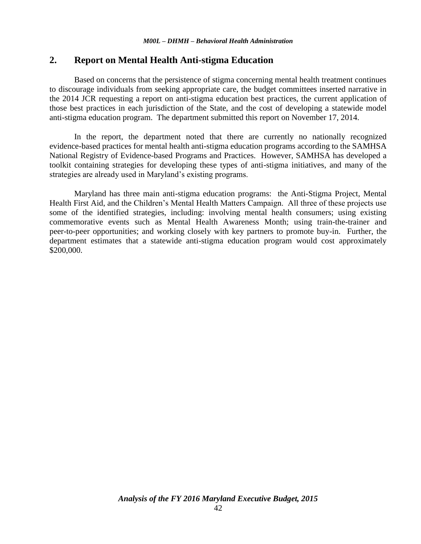## **2. Report on Mental Health Anti-stigma Education**

Based on concerns that the persistence of stigma concerning mental health treatment continues to discourage individuals from seeking appropriate care, the budget committees inserted narrative in the 2014 JCR requesting a report on anti-stigma education best practices, the current application of those best practices in each jurisdiction of the State, and the cost of developing a statewide model anti-stigma education program. The department submitted this report on November 17, 2014.

In the report, the department noted that there are currently no nationally recognized evidence-based practices for mental health anti-stigma education programs according to the SAMHSA National Registry of Evidence-based Programs and Practices. However, SAMHSA has developed a toolkit containing strategies for developing these types of anti-stigma initiatives, and many of the strategies are already used in Maryland's existing programs.

Maryland has three main anti-stigma education programs: the Anti-Stigma Project, Mental Health First Aid, and the Children's Mental Health Matters Campaign. All three of these projects use some of the identified strategies, including: involving mental health consumers; using existing commemorative events such as Mental Health Awareness Month; using train-the-trainer and peer-to-peer opportunities; and working closely with key partners to promote buy-in. Further, the department estimates that a statewide anti-stigma education program would cost approximately \$200,000.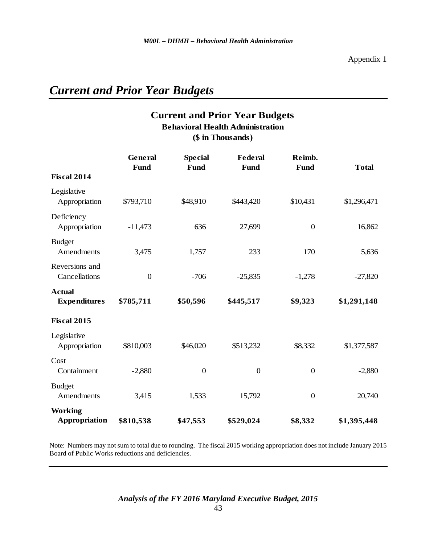# *Current and Prior Year Budgets*

## **Current and Prior Year Budgets (\$ in Thousands) Behavioral Health Administration**

|                                      | General<br><b>Fund</b> | <b>Special</b><br><b>Fund</b> | <b>Federal</b><br><b>Fund</b> | Reimb.<br>Fund   | <b>Total</b> |
|--------------------------------------|------------------------|-------------------------------|-------------------------------|------------------|--------------|
| <b>Fiscal 2014</b>                   |                        |                               |                               |                  |              |
| Legislative<br>Appropriation         | \$793,710              | \$48,910                      | \$443,420                     | \$10,431         | \$1,296,471  |
| Deficiency<br>Appropriation          | $-11,473$              | 636                           | 27,699                        | $\boldsymbol{0}$ | 16,862       |
| <b>Budget</b><br>Amendments          | 3,475                  | 1,757                         | 233                           | 170              | 5,636        |
| Reversions and<br>Cancellations      | $\boldsymbol{0}$       | $-706$                        | $-25,835$                     | $-1,278$         | $-27,820$    |
| <b>Actual</b><br><b>Expenditures</b> | \$785,711              | \$50,596                      | \$445,517                     | \$9,323          | \$1,291,148  |
| <b>Fiscal 2015</b>                   |                        |                               |                               |                  |              |
| Legislative<br>Appropriation         | \$810,003              | \$46,020                      | \$513,232                     | \$8,332          | \$1,377,587  |
| Cost<br>Containment                  | $-2,880$               | $\boldsymbol{0}$              | $\boldsymbol{0}$              | $\boldsymbol{0}$ | $-2,880$     |
| <b>Budget</b><br>Amendments          | 3,415                  | 1,533                         | 15,792                        | $\boldsymbol{0}$ | 20,740       |
| <b>Working</b><br>Appropriation      | \$810,538              | \$47,553                      | \$529,024                     | \$8,332          | \$1,395,448  |

Note: Numbers may not sum to total due to rounding. The fiscal 2015 working appropriation does not include January 2015 Board of Public Works reductions and deficiencies.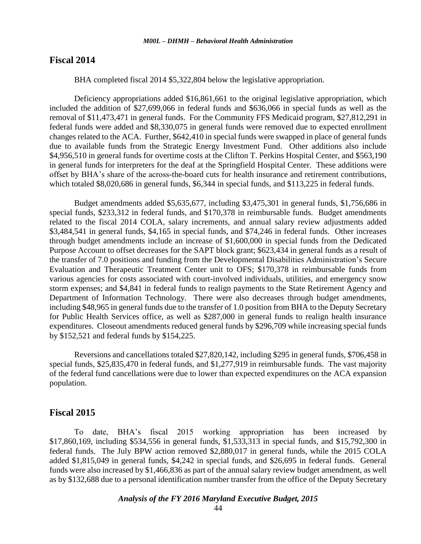### **Fiscal 2014**

BHA completed fiscal 2014 \$5,322,804 below the legislative appropriation.

Deficiency appropriations added \$16,861,661 to the original legislative appropriation, which included the addition of \$27,699,066 in federal funds and \$636,066 in special funds as well as the removal of \$11,473,471 in general funds. For the Community FFS Medicaid program, \$27,812,291 in federal funds were added and \$8,330,075 in general funds were removed due to expected enrollment changes related to the ACA. Further, \$642,410 in special funds were swapped in place of general funds due to available funds from the Strategic Energy Investment Fund. Other additions also include \$4,956,510 in general funds for overtime costs at the Clifton T. Perkins Hospital Center, and \$563,190 in general funds for interpreters for the deaf at the Springfield Hospital Center. These additions were offset by BHA's share of the across-the-board cuts for health insurance and retirement contributions, which totaled \$8,020,686 in general funds, \$6,344 in special funds, and \$113,225 in federal funds.

Budget amendments added \$5,635,677, including \$3,475,301 in general funds, \$1,756,686 in special funds, \$233,312 in federal funds, and \$170,378 in reimbursable funds. Budget amendments related to the fiscal 2014 COLA, salary increments, and annual salary review adjustments added \$3,484,541 in general funds, \$4,165 in special funds, and \$74,246 in federal funds. Other increases through budget amendments include an increase of \$1,600,000 in special funds from the Dedicated Purpose Account to offset decreases for the SAPT block grant; \$623,434 in general funds as a result of the transfer of 7.0 positions and funding from the Developmental Disabilities Administration's Secure Evaluation and Therapeutic Treatment Center unit to OFS; \$170,378 in reimbursable funds from various agencies for costs associated with court-involved individuals, utilities, and emergency snow storm expenses; and \$4,841 in federal funds to realign payments to the State Retirement Agency and Department of Information Technology. There were also decreases through budget amendments, including \$48,965 in general funds due to the transfer of 1.0 position from BHA to the Deputy Secretary for Public Health Services office, as well as \$287,000 in general funds to realign health insurance expenditures. Closeout amendments reduced general funds by \$296,709 while increasing special funds by \$152,521 and federal funds by \$154,225.

Reversions and cancellations totaled \$27,820,142, including \$295 in general funds, \$706,458 in special funds, \$25,835,470 in federal funds, and \$1,277,919 in reimbursable funds. The vast majority of the federal fund cancellations were due to lower than expected expenditures on the ACA expansion population.

### **Fiscal 2015**

To date, BHA's fiscal 2015 working appropriation has been increased by \$17,860,169, including \$534,556 in general funds, \$1,533,313 in special funds, and \$15,792,300 in federal funds. The July BPW action removed \$2,880,017 in general funds, while the 2015 COLA added \$1,815,049 in general funds, \$4,242 in special funds, and \$26,695 in federal funds. General funds were also increased by \$1,466,836 as part of the annual salary review budget amendment, as well as by \$132,688 due to a personal identification number transfer from the office of the Deputy Secretary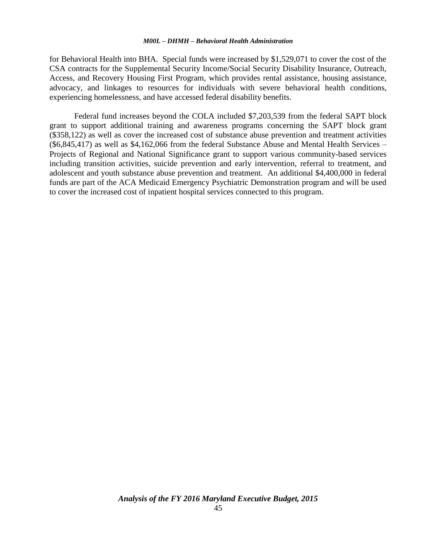for Behavioral Health into BHA. Special funds were increased by \$1,529,071 to cover the cost of the CSA contracts for the Supplemental Security Income/Social Security Disability Insurance, Outreach, Access, and Recovery Housing First Program, which provides rental assistance, housing assistance, advocacy, and linkages to resources for individuals with severe behavioral health conditions, experiencing homelessness, and have accessed federal disability benefits.

Federal fund increases beyond the COLA included \$7,203,539 from the federal SAPT block grant to support additional training and awareness programs concerning the SAPT block grant (\$358,122) as well as cover the increased cost of substance abuse prevention and treatment activities (\$6,845,417) as well as \$4,162,066 from the federal Substance Abuse and Mental Health Services – Projects of Regional and National Significance grant to support various community-based services including transition activities, suicide prevention and early intervention, referral to treatment, and adolescent and youth substance abuse prevention and treatment. An additional \$4,400,000 in federal funds are part of the ACA Medicaid Emergency Psychiatric Demonstration program and will be used to cover the increased cost of inpatient hospital services connected to this program.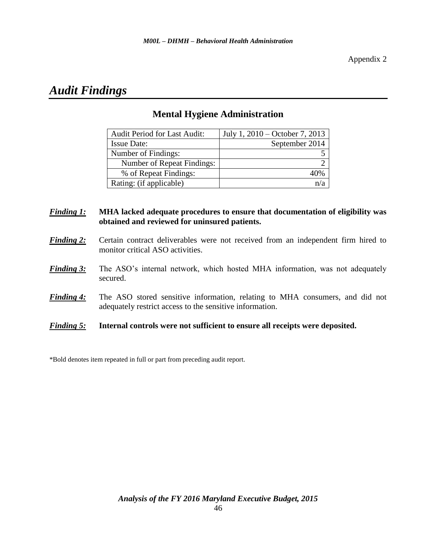# *Audit Findings*

| <b>Audit Period for Last Audit:</b> | July 1, 2010 – October 7, 2013 |
|-------------------------------------|--------------------------------|
| <b>Issue Date:</b>                  | September 2014                 |
| Number of Findings:                 |                                |
| Number of Repeat Findings:          |                                |
| % of Repeat Findings:               |                                |
| Rating: (if applicable)             |                                |

## **Mental Hygiene Administration**

## *Finding 1:* **MHA lacked adequate procedures to ensure that documentation of eligibility was obtained and reviewed for uninsured patients.**

- **Finding 2:** Certain contract deliverables were not received from an independent firm hired to monitor critical ASO activities.
- **Finding 3:** The ASO's internal network, which hosted MHA information, was not adequately secured.
- *Finding 4:* The ASO stored sensitive information, relating to MHA consumers, and did not adequately restrict access to the sensitive information.
- *Finding 5:* **Internal controls were not sufficient to ensure all receipts were deposited.**

\*Bold denotes item repeated in full or part from preceding audit report.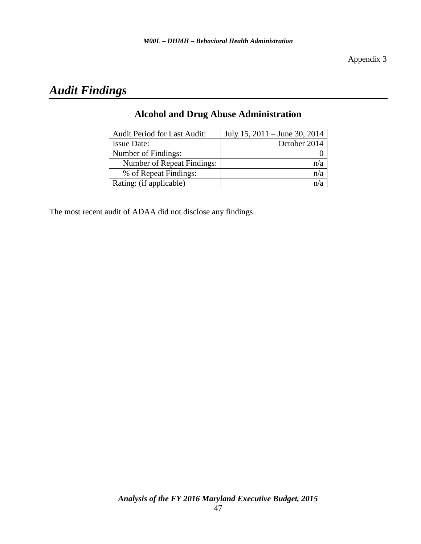# *Audit Findings*

| <b>Audit Period for Last Audit:</b> | July 15, 2011 – June 30, 2014 |
|-------------------------------------|-------------------------------|
| <b>Issue Date:</b>                  | October 2014                  |
| Number of Findings:                 |                               |
| Number of Repeat Findings:          | n/a                           |
| % of Repeat Findings:               |                               |
| Rating: (if applicable)             |                               |

## **Alcohol and Drug Abuse Administration**

The most recent audit of ADAA did not disclose any findings.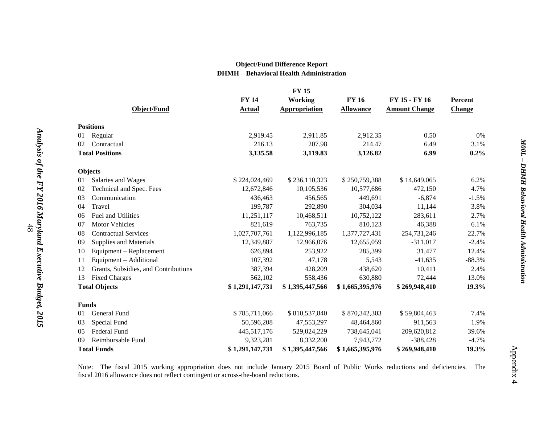### **Object/Fund Difference Report DHMH – Behavioral Health Administration**

|    |                                      |                 | <b>FY 15</b>         |                  |                      |               |
|----|--------------------------------------|-----------------|----------------------|------------------|----------------------|---------------|
|    |                                      | <b>FY 14</b>    | <b>Working</b>       | <b>FY 16</b>     | FY 15 - FY 16        | Percent       |
|    | <b>Object/Fund</b>                   | <b>Actual</b>   | <b>Appropriation</b> | <b>Allowance</b> | <b>Amount Change</b> | <b>Change</b> |
|    | <b>Positions</b>                     |                 |                      |                  |                      |               |
| 01 | Regular                              | 2,919.45        | 2,911.85             | 2,912.35         | 0.50                 | 0%            |
| 02 | Contractual                          | 216.13          | 207.98               | 214.47           | 6.49                 | 3.1%          |
|    | <b>Total Positions</b>               | 3,135.58        | 3,119.83             | 3,126.82         | 6.99                 | 0.2%          |
|    | Objects                              |                 |                      |                  |                      |               |
| 01 | Salaries and Wages                   | \$224,024,469   | \$236,110,323        | \$250,759,388    | \$14,649,065         | 6.2%          |
| 02 | Technical and Spec. Fees             | 12,672,846      | 10,105,536           | 10,577,686       | 472,150              | 4.7%          |
| 03 | Communication                        | 436,463         | 456,565              | 449,691          | $-6,874$             | $-1.5%$       |
| 04 | Travel                               | 199,787         | 292,890              | 304,034          | 11,144               | 3.8%          |
| 06 | Fuel and Utilities                   | 11,251,117      | 10,468,511           | 10,752,122       | 283,611              | 2.7%          |
| 07 | <b>Motor Vehicles</b>                | 821,619         | 763,735              | 810,123          | 46,388               | 6.1%          |
| 08 | <b>Contractual Services</b>          | 1,027,707,761   | 1,122,996,185        | 1,377,727,431    | 254,731,246          | 22.7%         |
| 09 | Supplies and Materials               | 12,349,887      | 12,966,076           | 12,655,059       | $-311,017$           | $-2.4%$       |
| 10 | Equipment - Replacement              | 626,894         | 253,922              | 285,399          | 31,477               | 12.4%         |
| 11 | Equipment - Additional               | 107,392         | 47,178               | 5,543            | $-41,635$            | $-88.3%$      |
| 12 | Grants, Subsidies, and Contributions | 387,394         | 428,209              | 438,620          | 10,411               | 2.4%          |
| 13 | <b>Fixed Charges</b>                 | 562,102         | 558,436              | 630,880          | 72,444               | 13.0%         |
|    | <b>Total Objects</b>                 | \$1,291,147,731 | \$1,395,447,566      | \$1,665,395,976  | \$269,948,410        | 19.3%         |
|    | <b>Funds</b>                         |                 |                      |                  |                      |               |
| 01 | General Fund                         | \$785,711,066   | \$810,537,840        | \$870,342,303    | \$59,804,463         | 7.4%          |
| 03 | Special Fund                         | 50,596,208      | 47,553,297           | 48,464,860       | 911,563              | 1.9%          |
| 05 | Federal Fund                         | 445,517,176     | 529,024,229          | 738,645,041      | 209,620,812          | 39.6%         |
| 09 | Reimbursable Fund                    | 9,323,281       | 8,332,200            | 7,943,772        | $-388,428$           | $-4.7%$       |
|    | <b>Total Funds</b>                   | \$1,291,147,731 | \$1,395,447,566      | \$1,665,395,976  | \$269,948,410        | 19.3%         |

Note: The fiscal 2015 working appropriation does not include January 2015 Board of Public Works reductions and deficiencies. The fiscal 2016 allowance does not reflect contingent or across-the-board reductions.